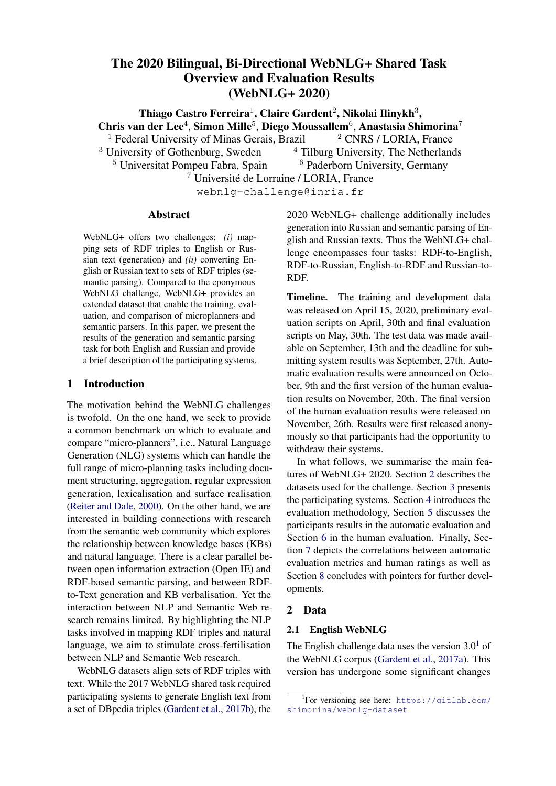# The 2020 Bilingual, Bi-Directional WebNLG+ Shared Task Overview and Evaluation Results (WebNLG+ 2020)

Thiago Castro Ferreira $^1$ , Claire Gardent $^2$ , Nikolai Ilinykh $^3,$ Chris van der Lee<sup>4</sup>, Simon Mille<sup>5</sup>, Diego Moussallem<sup>6</sup>, Anastasia Shimorina<sup>7</sup> <sup>1</sup> Federal University of Minas Gerais, Brazil  $\frac{2 \text{ CNRS}}{1 \text{ CNRS}}$  LORIA, France  $3$  University of Gothenburg, Sweden  $4$  Tilburg University, The Netherlands <sup>5</sup> Universitat Pompeu Fabra, Spain <sup>6</sup> Paderborn University, Germany

<sup>7</sup> Universite de Lorraine / LORIA, France ´

webnlg-challenge@inria.fr

#### Abstract

WebNLG+ offers two challenges: *(i)* mapping sets of RDF triples to English or Russian text (generation) and *(ii)* converting English or Russian text to sets of RDF triples (semantic parsing). Compared to the eponymous WebNLG challenge, WebNLG+ provides an extended dataset that enable the training, evaluation, and comparison of microplanners and semantic parsers. In this paper, we present the results of the generation and semantic parsing task for both English and Russian and provide a brief description of the participating systems.

# 1 Introduction

The motivation behind the WebNLG challenges is twofold. On the one hand, we seek to provide a common benchmark on which to evaluate and compare "micro-planners", i.e., Natural Language Generation (NLG) systems which can handle the full range of micro-planning tasks including document structuring, aggregation, regular expression generation, lexicalisation and surface realisation [\(Reiter and Dale,](#page-19-0) [2000\)](#page-19-0). On the other hand, we are interested in building connections with research from the semantic web community which explores the relationship between knowledge bases (KBs) and natural language. There is a clear parallel between open information extraction (Open IE) and RDF-based semantic parsing, and between RDFto-Text generation and KB verbalisation. Yet the interaction between NLP and Semantic Web research remains limited. By highlighting the NLP tasks involved in mapping RDF triples and natural language, we aim to stimulate cross-fertilisation between NLP and Semantic Web research.

WebNLG datasets align sets of RDF triples with text. While the 2017 WebNLG shared task required participating systems to generate English text from a set of DBpedia triples (Gardent et al., 2017b), the 2020 WebNLG+ challenge additionally includes generation into Russian and semantic parsing of English and Russian texts. Thus the WebNLG+ challenge encompasses four tasks: RDF-to-English, RDF-to-Russian, English-to-RDF and Russian-to-RDF.

Timeline. The training and development data was released on April 15, 2020, preliminary evaluation scripts on April, 30th and final evaluation scripts on May, 30th. The test data was made available on September, 13th and the deadline for submitting system results was September, 27th. Automatic evaluation results were announced on October, 9th and the first version of the human evaluation results on November, 20th. The final version of the human evaluation results were released on November, 26th. Results were first released anonymously so that participants had the opportunity to withdraw their systems.

In what follows, we summarise the main features of WebNLG+ 2020. Section [2](#page-0-0) describes the datasets used for the challenge. Section [3](#page-2-0) presents the participating systems. Section 4 introduces the evaluation methodology, Section 5 discusses the participants results in the automatic evaluation and Section 6 in the human evaluation. Finally, Section 7 depicts the correlations between automatic evaluation metrics and human ratings as well as Section 8 concludes with pointers for further developments.

#### <span id="page-0-0"></span>2 Data

#### 2.1 English WebNLG

The English challenge data uses the version  $3.0<sup>1</sup>$  of the WebNLG corpus (Gardent et al., 2017a). This version has undergone some significant changes

<sup>1</sup> For versioning see here: [https://gitlab.com/](https://gitlab.com/shimorina/webnlg-dataset) [shimorina/webnlg-dataset](https://gitlab.com/shimorina/webnlg-dataset)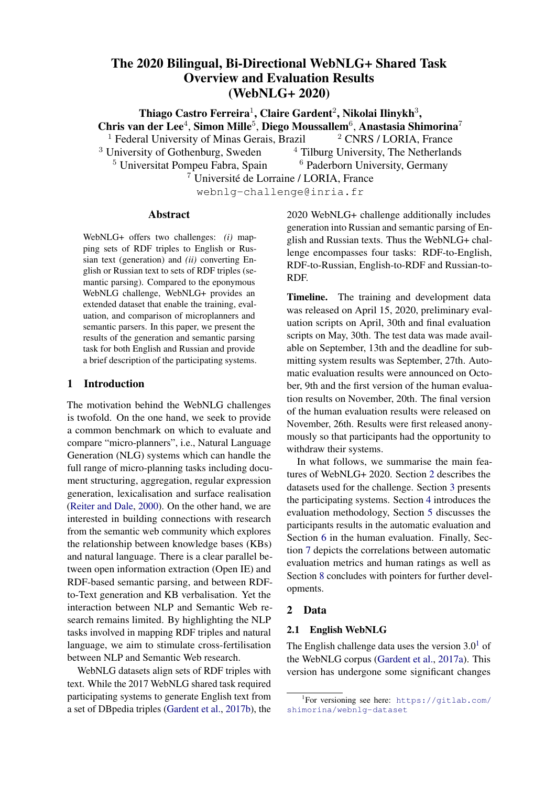<span id="page-1-0"></span>

|                 | Train  | Dev   | Test (D2T) | Test (SP) |
|-----------------|--------|-------|------------|-----------|
| RDF triple sets | 13.211 | 1.667 | 1.779      | 752       |
| Texts           | 35.426 | 4.464 | 5,150      | 2,155     |
| Properties      | 372    | 290   | 220        | 201       |

Table 1: WebNLG 3.0 English data statistics. Properties: the number of unique DBpedia properties.

compared to the data used in WebNLG'2017. The training data in 2020 consists of 16 DBpedia categories:

- the 10 seen categories used in 2017: Airport, Astronaut, Building, City, ComicsCharacter, Food, Monument, SportsTeam, University, and WrittenWork;
- the 5 unseen categories of 2017 that became part of the seen data in 2020: Athlete, Artist, CelestialBody, MeanOfTransportation, Politician;
- one new category that was added to the training set (Company).

The following data improvements were also carried out: *(i)* around 5,600 texts were cleaned from misspellings, and missing triple verbalisations were added to some texts; *(ii)* information about tree shapes and shape types were added to each RDF tree; *(iii)* some properties were unified to ensure consistency across the corpus. Table [1](#page-1-0) shows some dataset statistics. Training and developments sets were the same for the data-to-text (D2T) and semantic parsing (SP) tasks, unlike the test sets which are different for the two tracks.

New test sets were also collected for English because the previous test set has been made public. Following the tradition of several test data types, introduced in the previous shared task (Gardent et al., 2017b), we kept them in this year edition and introduced one new type *unseen entities*. The three types of the test data are:

- seen categories: RDF triples based on the entities and categories seen in the training data (e.g., *Alan Bean* in the category Astronaut);
- unseen entities: RDF triples based on the categories seen in the training data, but not entities (e.g., *Nie Haisheng* in the category Astronaut);
- unseen categories: RDF triples based on the categories not present in the training data.

<span id="page-1-1"></span>

|                   | D <sub>2</sub> T (RDF) | SP (texts) |
|-------------------|------------------------|------------|
| Seen categories   | 490 (28%)              | 606 (28%)  |
| Unseen entities   | 393 (22%)              | 457 (21%)  |
| Unseen categories | 896 (50%)              | 1,092(51%) |
| Total             | 1,779                  | 2,155      |

Table 2: Number of RDF triple sets and texts by test set type for data-to-text and semantic parsing respectively.

Three unseen categories were introduced in this year edition: Film, Scientist, and Musical-Work. Out of 220 unique properties in the test set for the D2T task, 39 properties were never seen in the training and development data.

Statistics of the test splits are shown in Table [2.](#page-1-1) Unlike the test set, the development set included data from seen categories only. However, participants were notified about the inclusion of unseen data from the beginning of the challenge and had to model the unseen data scenario by their own means.

New data for WebNLG-3.0 was collected with Amazon Mechanical Turk, and some triple verbalisations (part of the Film category) were done by students. For crowdsourcing, we followed the same procedure as was followed for the collection of the initial WebNLG data (Gardent et al., 2017a), but without the verification step. Instead, after collection, a spellchecker and quality checks were run and, if problems were spotted, texts were edited manually. Quality checks mainly consisted in verifying if triple entities are present in texts. We collected around three references per RDF triple sets.

#### 2.2 Russian WebNLG

Russian WebNLG was translated from English WebNLG for nine DBpedia categories: Airport, Astronaut, Building, CelestialBody, ComicsCharacter, Food, Monument, SportsTeam, and University. Table [3](#page-2-1) shows some statistics of the Russian dataset. For the test set, only the data of the *seen categories* type is present, which makes the Russian track much easier to handle for participating systems.

Russian data also possesses some additional features compared to the English data: links between English and Russian entities from subjects and verbal objects of RDF triples were given. Some of them were extracted from DBpedia between En-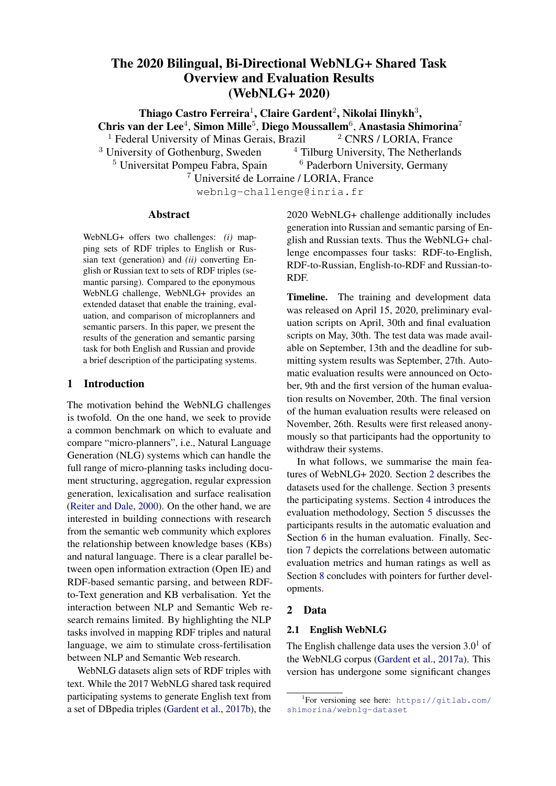<span id="page-2-1"></span>

|                 | Train  | Dev   | Test (D2T) | Test (SP) |
|-----------------|--------|-------|------------|-----------|
| RDF triple sets | 5.573  | 790   | 1,102      | 474       |
| Texts           | 14.239 | 2.026 | 2,780      | 1,206     |
| Properties      | 226    | 115   | 192        | 164       |

Table 3: WebNLG 3.0 Russian data statistics. Properties: the number of unique DBpedia properties.

glish and Russian entities by means of the property *sameAs* (e.g., (Spaniards, sameAs, испанцы)). For the entities without such a property, links were created manually. The links served as pointers for translators. During the test phase, those features were available for the RDF-to-text track.

The Russian data creation followed the procedure below:

1. Russian WebNLG was translated from the English WebNLG version 2.0 with the MT system of [Sennrich et al.](#page-19-1) [\(2017\)](#page-19-1), as described in [Shimorina](#page-19-2) [et al.](#page-19-2) [\(2019\)](#page-19-2).

2. It was then post-edited using crowdsourcing on the Yandex.Toloka platform in two steps:

- we asked people to post-edit Russian texts given original English texts and provided them with some pointers for translation of entities (the links described above). Crowdworkers were asked to use the pointers as much as possible.
- given the post-edited sentences, we asked people to check if the text was translated properly (in terms of grammar, spelling, etc.) and if the entity translation was correct. If the translation was detected as erroneous, it was moved to the post-edit step again.

3. Afterwards, some sanity checks and a spellchecker were run to ensure data quality. All the detected cases were then manually verified by experts (Russian native speakers), and they edited the texts one more time if needed.

Based on this procedure, we assume that the Russian data is of a decent quality. However, based on manual inspections, some texts may still be lacking in terms of fluency and correctness. Note also that the Russian version was derived from the English WebNLG version 2.0, where some errors in semantic content realisation were present.

# <span id="page-2-0"></span>3 Participating Systems

The WebNLG+ data was downloaded more than 100 times, 17 teams submitted 48 system runs.

From this sample, two teams withdrew their results, which gave us 15 participating teams with 46 runs for automatic evaluation (Table [4\)](#page-3-0). For human evaluation, we evaluated 14 teams for English and 6 teams for Russian. Only one team participated in all four tasks (bt5). Two participants (Amazon AI (Shanghai) and CycleGT) submitted models for both generation and semantic parsing but only for English. All other submissions focused on generation, one only for Russian (med), five for English only (TGen, UPC-POE, RALI-Universite´ de Montréal, ORANGE-NLG, NILC) and four for both Russian and English (cuni-ufal, FBConvAI, Huawei Noah's Ark Lab, OSU Neural NLG).

In what follows, we summarise the primary submissions of the 15 participating teams.

# 3.1 Monolingual, Mono-Task, Template-based Approaches

Among all system submissions, two of them used templates: RALI-Université de Montréal and DANGNT-SGU.

RALI-Université de Montréal. [Lapalme](#page-18-0) [\(2020\)](#page-18-0) implements a symbolic approach which captures the various substeps of NLG programmatically. The input set of RDF triples is partitioned and ordered into sentence sized subsets. Each subset is then transformed into a sentence using Python procedures designed to encode 200 manually defined sentence templates. Aggregation is handled by combining templates and referring expression generation by using names for first occurrences and pronouns for subsequent occurrences (within a template). The REAL surface realiser is used to map the resulting sequence of sentence templates to sentences.

DANGNT-SGU. [Tran and Nguyen](#page-19-3) [\(2020\)](#page-19-3) derive delexicalised templates from the data by replacing RDF subjects and objects with placeholders and identifying their text counterparts using the Jaro-Winkler similarlity metrics.

# 3.2 Mono-lingual, Mono-task, Neural Approaches

med. Blinov (2020) focuses on generation into Russian. They used the pre-trained Russian GPT-2 language model [\(Radford et al.,](#page-18-1) [2019\)](#page-18-1) augmented with a classification head and fine-tuned on the WebNLG+ RDF-to-Russian dataset. The author experimented with various sampling methods and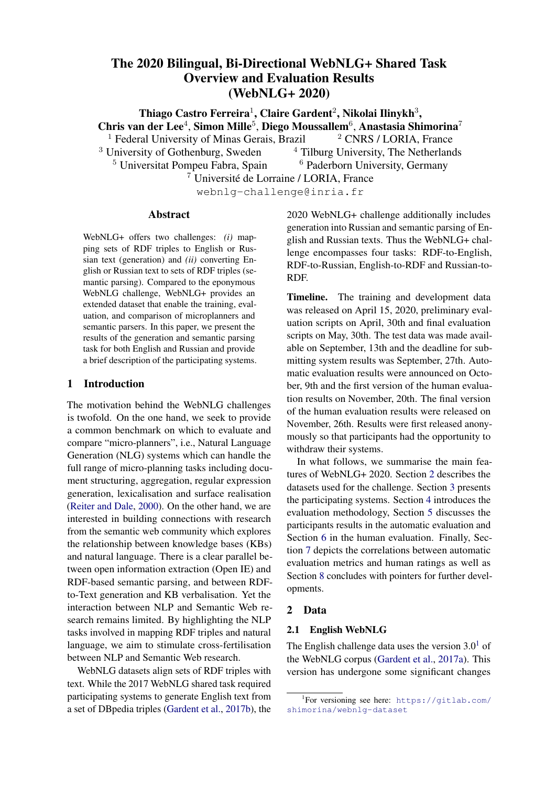<span id="page-3-0"></span>

| Team                        | Affiliation                          | Country |    | D2T |    | SP. |
|-----------------------------|--------------------------------------|---------|----|-----|----|-----|
|                             |                                      |         | En | Ru  | En | Ru  |
| med                         | Sber AI Lab                          | Russia  |    |     |    |     |
| RALI-Université de Montréal | Université de Montréal               | Canada  | √  | ۰   |    |     |
| ORANGE-NLG                  | Orange Labs                          | France  | ✓  |     |    |     |
| cuni-ufal                   | <b>Charles University</b>            | Czechia | ✓  | √   |    |     |
| TGen                        | <b>AIST</b>                          | Japan   | √  |     |    |     |
| bt5                         | Google                               | US      |    | ✓   | √  |     |
| UPC-POE                     | Universitat Politècnica de Catalunya | Spain   |    |     |    |     |
| <b>DANGNT-SGU</b>           | Saigon University                    | Vietnam |    |     |    |     |
| Huawei Noah's Ark Lab       | Huawei Noah's Ark Lab                | UK      |    |     |    |     |
| Amazon AI (Shanghai)        | Amazon AI (Shanghai)                 | China   |    |     |    |     |
| NILC.                       | University of São Paulo              | Brazil  |    |     |    |     |
| NUIG-DSI                    | National University of Ireland       | Ireland |    |     |    |     |
| CycleGT                     | Amazon                               | China   |    |     |    |     |
| <b>OSU Neural NLG</b>       | The Ohio State University            | US      |    |     |    |     |
| FBConvAI                    | Facebook                             | US      |    |     |    |     |

Table 4: WebNLG+ 2020 Participants.

with data augmentation. For data augmentation, they use the Baidu SKE dataset (194,747 RDF/Chinese text pairs) and automatically translate its text part into Russian.

ORANGE-NLG. [Montella et al.](#page-18-2) [\(2020\)](#page-18-2) explore data augmentation for RDF-to-English generation. They pre-train BART [\(Lewis et al.,](#page-18-3) [2020\)](#page-18-3) first on a corpus of Wikipedia sentences (57 million sentences) and second on a noisy RDF/English text corpus they created using Open Information Extraction on the collected sentences. For fine-tuning, they experiment with curriculum learning based on the size (number of triples) of the input. They find that pre-training and data augmentation does help improve results. Conversely, they found that curriculum learning leads to a drop in performance.

TGen. [Kertkeidkachorn and Takamura](#page-18-4) [\(2020\)](#page-18-4) introduce a pipeline model which first orders the input triples (plan selection) and second verbalises the resulting sequence of triples (verbalisation). Verbalisation is done using the T5 transformerbased encoder-decoder model [\(Raffel et al.,](#page-18-5) [2020\)](#page-18-5) trained through an unsupervised multi-tasking (span masking) on the Colossal Clean Crawled Corpus (C4) and fine-tuning on the RDF-to-English dataset. The Plan Selection model is learned using a ranking loss on a corpus which aligns each set of RDF triples with its possible linearisations and the corresponding texts (using the verbaliser) and where the plan which yields the text with the highest BLEU score is labelled as correct.

UPC-POE. Domingo Roig et al. (2020) attempt a semi-supervised, back translation approach where

additional text data is retrieved from Wikipedia pages that are about entities similar to those present in the WebNLG+ dataset (using Wikipedia2vec embeddings for entities and words from Wikipedia). They then apply syntactic parsing to this additional text and integrate this synthetic data with the WebNLG+ data for training. The full dataset has around 350K instances. The model is a Transformer-based encoder-decoder with a BPE vocabulary of 7K subwords.

NILC. [Sobrevilla Cabezudo and Salgueiro Pardo](#page-19-4) [\(2020\)](#page-19-4) use the large BART Transformer Encoder-Decoder model and fine-tune it on the WebNLG+ data. The results are lower than the WebNLG+ baseline but preliminary investigations suggests that BART sometimes generates correct paraphrases for the reference.

NUIG-DSI. [Pasricha et al.](#page-18-6) [\(2020\)](#page-18-6) leverage the T5 transformer-based encoder-decoder model which was pre-trained on multiple supervised and unsupervised tasks. Before fine-tuning on the WebNLG+ data, they further pre-train T5 using a Mask Language Modelling objective (with 15% of the tokens masked) on two additional datasets: the WebNLG corpus and a corpus of DBpedia abstracts which consists of all abstracts for the entities which are present in the WebNLG+ training set.

# 3.3 Mono-task, Bilingual Approaches

cuni-ufal. The mBART model [\(Liu et al.,](#page-18-7) [2020\)](#page-18-7) is pre-trained for multilingual denoising on the large-scale multilingual CC25 corpus extracted from Common Crawl, which contains data in 25 languages. The noise function of mBART replaces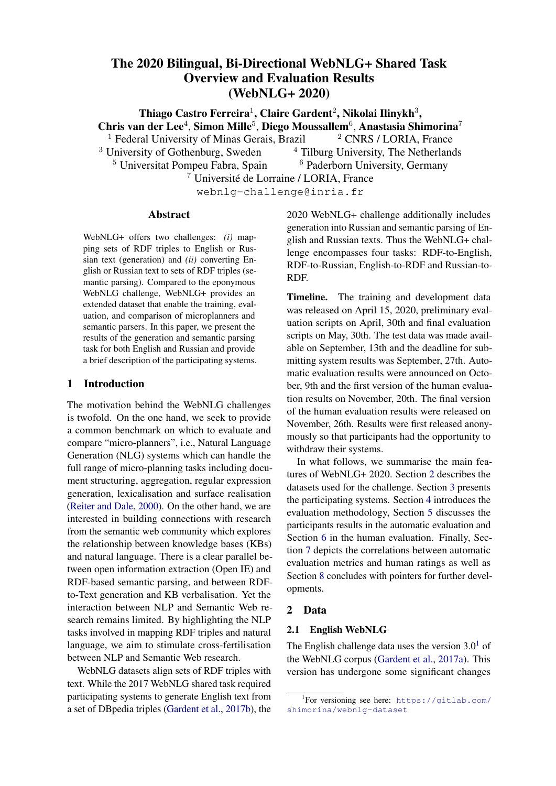text spans of arbitrary length with a mask token eration which combines a planner trained to learn (35% of the words in each instance) and permutethe order in which triples should be verbalised and the order of sentences. To generate into both Era decoder for verbalising each triple. Guo et al. glish and Russian, [Kasner and Dusek](#page-18-8) (2020) ne(2020a) train Zhao et al. (2020)'s planner on the tune two separate mBART models for English and WebNLG+ dataset and use the pre-trained T5-large Russian on the WebNLG+ RDF-to-English and model to verbalise the linearised triples. For the RDF-to-Russian datasets. Text-to-RDF task, entity linking is applied to the

Huawei Noah's Ark Lab. Delexicalisation is used to help handle rare entities. Named entities text and DBpedia is queried to retrieve the corresponding triples.

are replaced by placeholders in the input and th $\epsilon$ ycleGT. Guo et al. (2020b) present a weakly output, the model is trained on the delexicalised upervised method where generation and semandata and the predictions are relexicalised beforec parsing models are learned by bootstrapping evaluation. While previous work on delexicalisa-from purely text and purely RDF data and itera-tion is mostly string based, [Zhou and Lampou](#page-19-5)rastively mapping between the two forms. The T5 [\(2020](#page-19-5)) propose a novel approach to delexicalisatiopre-trained sequence-to-sequence model is used to which is based on embedding (semantic) similarbootstrap the generation model. For semantic parsity. To handle both English and Russian, they us⊕ng, the authors use Qi et al. (2020) entity extraction LASER cross-lingual embeddings. To account for model to identify all entities present in the input contextual variations, they complement the relextext and a multi-label classi er to predict the relaicalisation step with a contextualised post-editingtion between pairs of entities. Each input text and model. They also explore the respective perforeach input graph is aligned with its back-translated mance of delexicalisation, subwords and an apversion and the resulting aligned data for training. proach combining both (using delexicalisation for The two models are improved by repeatedly alterunseen entities and word pieces for seen input). nating the optimisation of each model. The text

OSU Neural NLG. [Xintong et al.](#page-19-6) [\(2020](#page-19-6)) use the monolingual T5 model for English and the multilingual mBART model for Russian. Both models are -ne-tuned on the WebNLG+ data. The authors also and the RDF data used to bootstrap the model are the WebNLG+ 2020 dataset, shuf ed to ensure that the data is fully non parallel (text and RDF in each of the datasets are not aligned).

explore the impact of a reverse model reranking to  $_{3.5}$ rerank the model predictions after beam search. Bi-directional, Bi-lingual Approaches

bt5. Agarwal et al. (2020) use T5 as a pre-trained

FBConvAI. [Yang et al.](#page-19-7) [\(2020](#page-19-7)) use BART for pre-model and explores multilingual multi-task learntraining and explore different ways of modeling ing during pre-training and ne-tuning. For prethe RDF graph and its relation to natural languageraining, their best model is T5 pre-trained on Entext. Different linearisation strategies (deph- rst, glish and Russian Wikipedia and further trained bread- rst traversal, bracketed representations) aren WMT English/Russian parallel corpus. For compared. Multi-tasking and pipeline architectures ne-tuning, they compare monolingual models, are also examined to analyse how different waysilingual models multi-tasked on both languages of integrating generation with document planningand then ne-tuned for one and the same bilin-(triples order) impact performance. To help bridgegual models ne tuned on a corpus derived from the gap between the input graph and the outputhe WebNLG+ data by aligning English and Ruslinear structure, a second phase of pre-training is ian sentences and entities. They nd that the later applied using DocRED, a noisy parallel corpus of model provides signi-cant improvements on unsentences and their automatically extracted relationeen relations.

(17K entries). Lexicalisation of RDF properties are

also curated from the WebNLG+ and the DocRED 4 Evaluation Methodology datasets.

# 4.1 RDF-to-Text (Generation)

3.4 Bi-Directional, Monolingual Approaches

Amazon AI (Shanghai). [Zhao et al](#page-19-8). (2020) in-were automatically evaluated with some of the most troduced a two-step model for RDF-to-Text gen-popular traditional and novel text generation met-Automatic Metrics. The participating systems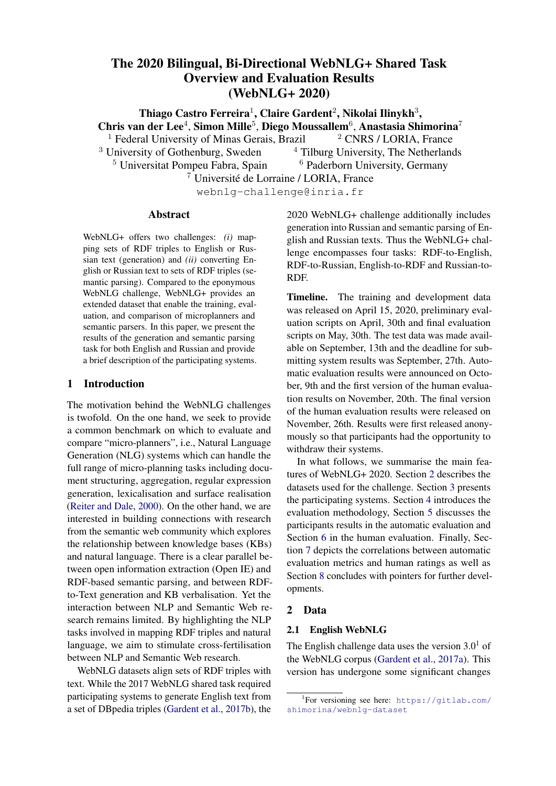|  | <b>Triple Set Size</b> |   |                  |                                                                                                                                                                                                                       |
|--|------------------------|---|------------------|-----------------------------------------------------------------------------------------------------------------------------------------------------------------------------------------------------------------------|
|  |                        |   |                  |                                                                                                                                                                                                                       |
|  |                        | 6 |                  | All                                                                                                                                                                                                                   |
|  |                        |   |                  |                                                                                                                                                                                                                       |
|  |                        |   | $\Delta \quad 5$ | corresponding gold-standards using BLEU (Pap-<br>ineni et al., 2002), regular and with the Smoothing English 36 40 30 31 22 9 10 178<br>Function 3 proposed in (Chen and Cherry, 2014) Russian 26 20 19 20 22 0 3 110 |

(e.g., BLEU NLTK); METEOR (Lavie and Agar-Table 5: The number of samples per triple set size from wal, 2007); TER (Snover et al., 2006) and chrF++ the test set for both languages. (Popovč, 2017) (with word bigrams, character 6-

grams and  $= 2$ ). Regarding the novel metrics,

we computed BERTScore (Zhang et al., 2020) for o human evaluation in a random strati ed fashion. English and Russian outputs and BLEURT (SelSpeci cally, we sampled 178 triples from the Enlam et al., 2020) (withbleurt-base-128 version) for the English ones. The main differenceset. As Table 5 shows, we randomly chose sambetween traditional and novel metrics is that the les based on the number of triples in a single data former measures the similarity between hypothesistem. We also controlled for the type of the triples: and references using a discrete representation @Ur English data for human evaluation contained their tokens, whereas the latter methods use a ve 24/37/87 samples for seen categories, unseen entor representation of these units. As an outcome otties and unseen categories respectively. Russian this shared task, we aim to investigate which onelata had triples of the rst type only (seen cateout these two kinds better correlate with human gories). For each sample, we collected judgements ratings. glish test set and 110 triples from the Russian test from three different annotators. Our human anno-

For both considered languages, the participating ators were recruited through the crowd-sourcing systems were automatically evaluated in a multi<sup>platform</sup> Amazon Mechanical Turk (MTurk) for reference scenario. Each English hypothesis wasnglish data and Yandex.Toloka for Russian data. compared with a maximum of 5 references, and hey were asked to evaluate each sample based on each Russian one with a maximum of 7 referthe following criteria:

ences. On average, English data has 2.89 references. On average, English data has 2.55 ference Does the text include dereferences per instance. We requested the participants to provide their hypothesis in the detokenised and truecased form. Thus, the metrics 2. Relevance Does the text describe only such were computed over the truecased format of the inputs. For the traditional metrics (e.g., BLEU, METEOR, chrF++, etc.), we tokenised the texts using the NLTK framework (Loper and Bird, 2002) for English, and azdel  $2$  for Russian. Novel metrics as BERTScore and BLEURT provide their own tokenisers.

Human Evaluation. We have conducted a human evaluation of all submitted systems for the RDF-to-Text task for both English and Russian data. In case of multiple submissions per participant for a single task, we asked to indicate the primary submission for human evaluation. Thus, we hadfourteen submissions for English data and six submissions for Russian data. We have also evaluated baseline outputs and ground-truth refer-Example tasks presented to the annotators (with ences of both English and Russian data.

- scriptions of all predicates presented in the data?
- predicates (with related subjects and objects), which are found in the data?
- 3. Correctness: When describing predicates which are found in the data, does the text mention correct the objects and adequately introduces the subject for this speci c predicate?
- 4. Text Structure: Is the text grammatical, wellstructured, written in acceptable English language?
- 5. Fluency: Is it possible to say that the text progresses naturally, forms a coherent whole and it is easy to understand the text?

For both English and Russian data, we sampled 10% of RDF-text pairs from the respective test set for Russian. As can be seen from these examcriteria descriptions and examples of the data) are shown in the Appendix A for English and Appendix

ples, each annotator saw the following elements

<sup>&</sup>lt;sup>2</sup>https://github.com/natasha/razdel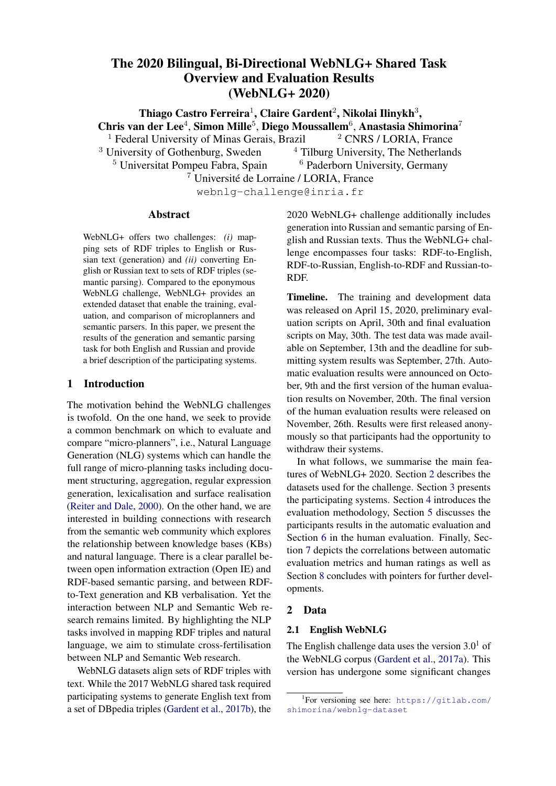when working on our task(i) the set of instructions with descriptions of each criteriom, data (a collection of RDF triples)(iii) a system output (a text). Under each criterion description, a slider for the scale from 0 to 100 was given. Human annotators were required to use the slider and the scale to indicate the extent to which they agree with the statement about the speci c measure. Each annotator was presented with a single evaluation sample per page. The full set of instructions is available in the GitHub challenge evaluation repositåry

Our English tasks were available for annotators from English-speaking countries (the US, the UK, Australia, Ireland, Canada), who have completed more than 5,000 tasks on MTurk and had the approval rate of at least 95%. If a sample had 1, 2 or 3 RDF triples, we paid 0.\$5 for the annotation of that sample. For triples of other sizes  $(4-7)$ , we paid 0.20 due to the higher task complexity. Our Russian tasks were available for the Russian-speaking annotators from Russia, Ukraine, Belarus and Kazakhstan. We paid the same amount of money for completing the Russian data annotation task as for the English data collection.

(a) English dataMTurk

(b) Russian dataYandex.Toloka

we conducted a round **o**fuali cation tasks Only workers who have completed these tasks were a books submitted per annotator. lowed to participate in our primary tasks. The qual-Figure 1: Annotator statistics: # of annotators vs. # of

i cation tasks were created manually and included

To ensure the quality in annotators' judgements,

two examples of RDF-text pairs per single taskother cases, the annotator was not given access to These tasks contained multiple instances of sever aur tasks. We also removed all annotators who types: were rating English ground-truth texts with low scores across multiple criteria. For Russian data,

- The text correctly depicts and describes all we manually controlled for this aspect since not all information from the data (expected rating: ground-truth texts are of high quality. high for all criteria). We conducted two rounds of human evaluation
- single criterion (expected rating: low for the speci c criterion).
- for English data and have recruite **d**9 annotators.<br>• The text does not meet requirements for a the have also impeased as thin italians and have We have also imposed soft limitations on the number of samples an annotator is allowed to evaluate. In the rst round, we allowed each worker to com-
- The text has many aws across the majority plete 150-170 tasks. In the second round, the range of criteria (expected rating: low for most of was changed to 130-150 tasks per annotator. Annothe criteria). tators from the rst round (experienced annotators)

A single annotator was quali ed to work on the ac-<sub>this,</sub> we aimed at using their high level of expertise tual tasks if, given the results of quali cation round in our task to get better and more consistent judge-(i) both quali cation samples were evaluated as exments. For English data, we collected judgements pected,(ii) evaluation of one quali cation sample from 109 annotators with 63 experienced annotawas slightly varied from what is expected. In all <sub>tors.</sub> Similarly, for Russian data, we recruited were asked to participate in the second round. With

3 https://github.com/WebNLG/ GenerationEval/tree/humaneval/human\_ evaluation/en/hit\_properties

annotators and each of them was allowed to submit 80-100 tasks in the rst round and 120-140 tasks in the second round. We note that we softly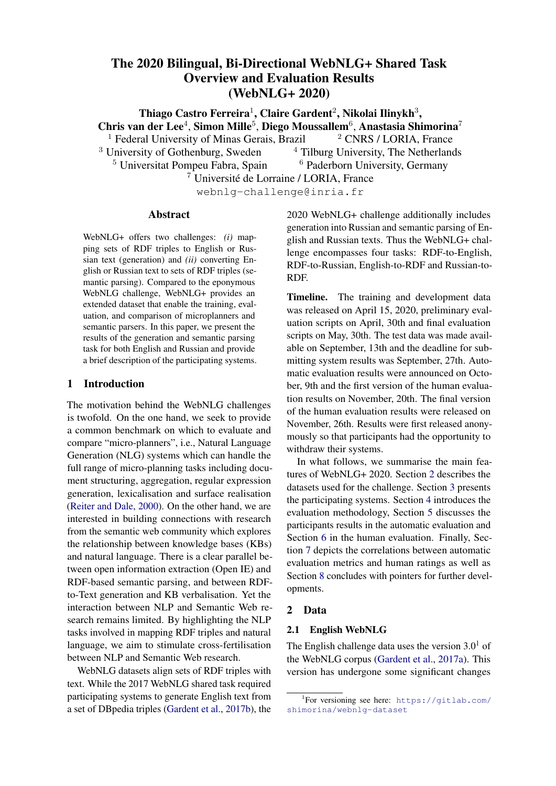controlled the number of possible task submissions per worker. We tracked the number of submitted tasks from each worker and restricted their access when the number had exceeded the limit. This update was performed every 5 minutes, and during this period, the worker could have submitted more tasks than allowed. Therefore, we do not set the maximally allowed number of submitted tasks per worker to a single number, but to a range of numbers instead. Fig. 1 demonstrates the distribution of task submissions for all our annotators.

Also, we manually checked submissions from each annotator who participated in our tasks. We have noticed the following patterns in the behaviour of bad annotators: rst, their submissions contained identical scores (e.g., all 0s, all 100s, all 50s, etc.) for all criteria across all RDF-text sets. Second, their scores for several criteria were not logically correct (e.g., a low score for Data Coverage given

each instance (as around 3 judgements were collected per instance), and then they were averaged across all sample instances (avg.

- We performed the Wilcoxon Rank-Sum Test to evaluate whether there is a statistically signi cant difference between the average evaluation scores of the systems. The result is shown as a system's rank, which was set measuring the pair-wise statistical tests between the averaged z-score results of a top-performing systems with the results of each of its lowerperforming ones.
- We computed nal human evaluation results for (i) the whole set of sampled test set outputs per system(ii) for outputs per each test set type (seen categories, unseen entities, unseen categories).

that the text covers all predicates from the data Baselines. We used the FORGe generator (Mille Third, bad submissions were typically sent in a<sup>et al.</sup>, 2019a) as a baseline, an all-purpose grammarshort amount of time (around 10-20 seconds to and template-based generator that takes predicatecomplete a single task), and all bad annotators were<sup>rgument</sup> structures as input. FORGe was adapted highly active in submitting many tasks. Based on<sup>to triple-based inputs such as the E2E and several</sup> these patterns, we manually judged workers as ep Bpedia-oriented datasets - including WebNLG ther spammers or not. For English data, we iden<sup>and WebNLG+</sup> — with the addition of a module for ti ed 21 bad annotators, submitting around 25%the mapping of RDF to predicate-argument (exterof all data for English evaluation. We recollectednal module) and a module for aggregation. It con-20% of these annotations, ensuring that their qualists of 16 graph-transduction grammars that perity is reliable, and removed the other 5% of data<sup>form the following tasks as a pipelin(i) aggrega-</sup> from the results. For Russian data, we identi ed<sup>tion of</sup> predicate-argument templateis, de nition four malicious annotators who submitted around<sup>of</sup> sentence structure for each resulting aggregated 5% of all data. We recollected these judgements graph, (iii) introduction of idiosyncratic words and Overall, we spent around 490 US dollars and 2,406 yntactic relations (iv) syntax-based sentence ag-US dollars for human evaluation of Russian and regation and referring expression generation, and English data, respectively. (v) linearisation and in ection. The grammars cur-

Once the human evaluation was done, we preently contain about 2,000 active rules, most of processed the ratings before computing the nalthich are language- and domain-independent. human evaluation rankings for the systems: instance, the micro-planning grammars use features such as the presence of repeated substructures to

• To diminish the differences between the scorpackage some triples together, but do not target speing strategies of the distinct human raters, weci c elements. Similarly, the sentence structures normalized the scores of each participant byare chosen by default according to the con guracomputing theirz-scores (scores subtracted tion of the packaged semantic graph. by the participant's overall mean score divided For the adaptation of the generator to the by their overall standard deviation).

WebNLG+ dataset, the following steps were required: (i) for each individual property, one

• The standardised scores were averaged for the case and marriage proporty, one of the standardised scores were averaged for predicate-argument template (in a PropBank-like

 $\overline{^4}$ The results of the human evaluation in this report are the ashion (Babko-Malaya, 2005)) was handcrafted, nal results. Please note that the system description paper(si) for each lexical unit used in the templates, a might report/analyseon- Itered results (e.g. human evaluation results based on the annotators' data which has not been manually inspected), if not stated otherwise. <sup>5</sup>4 rules have been speci cally designed to cope with some particular WebNLG and WebNLG+ inputs.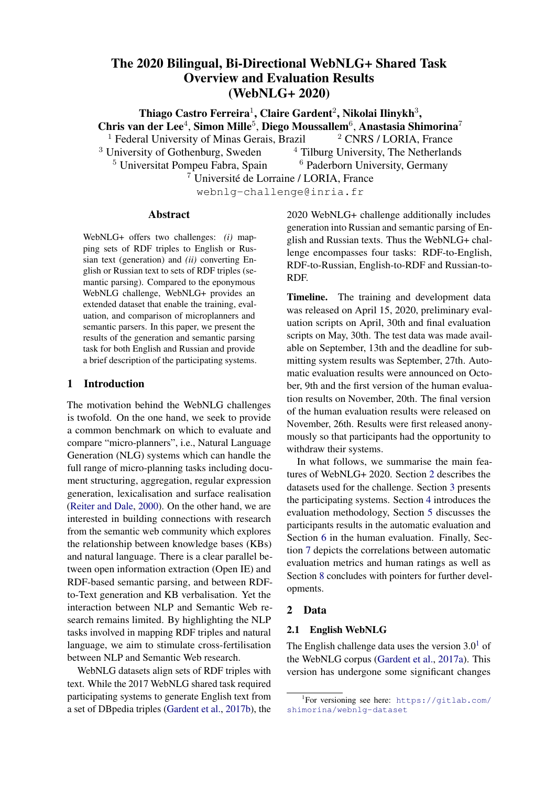lexicon entry was added with the description of itsbaseline to score reasonably high in terms of husubcategorisation pattern and minimal collocatiorman assessments, in particular according to covinformation, (iii) each in ected form needed for erage, correctness and relevance, since there are the verbalisation was added to morphological dicno hallucinations in grammar-based systems, and tionary, and(iv) the coverage of a few rules was we ensured that all the properties are covered. For extended to handle new con gurations. Most of the uency and text structure, we expect the scores to templates, lexical units and full-edged forms had be lower, but to still provide a strong baseline. already been established for the rst edition of the WebNLG challenge. The training and development 4.2 Text-to-RDF (Semantic Parsing) sets were used to see how the different propertiesor the Semantic Parsing task, we did not conduct are verbalised and to get inspiration for craftingthe human evaluation of the submitted systems. the predicate-argument templates; basic templateshus, only automatic metrics were used to evaluate were also added for each unseen property. the performance.

During the mapping from the RDF triples to the Automatic Metrics. Precision, Recall, and F1 predicate-argument structures, we added inform core metrics were calculated for the Text-to-RDF tion (in the form of feature-value pairs) obtainedtask. This calculation was based on the Named Enby querying DBpedia (class, number, cardinalitytity Evaluation for SemEval 2013, Task 9.1 (Seguragender), removed all Wikipedia disambiguation Bedmar et al., 2013). First, the triples were preinformation, i.e. what is in parentheses in the subprocessed: the snake cased subject and object, and ject and object values, added generic processingamel cased predicate, were converted to regular rules to normalise numbers and dates, and splittrings. Then, the resulting strings were lowercomma-separated object values. We also addedased, quotation marks were removed, and if an rules speci c to the WebNLG+ dataset to handle seobject contained text between parentheses (e.g., mantically overlapping triples (e.g. the triple about The Honeymoon Killers (American band)"), that a person being deceased was removed when the was removed as well. After this pre-processing was a triple about the death date). Before beinǥtep, the evaluation script looked for the optimal sent to FORGe, the triples were ordered in a way lignment between each candidate and reference that the ones with common subject and/or objectriple. Then, generated triples and gold standard are consecutive, the triples involving the most fretriples were converted separately to a string with quent entities being placed at the beginning. Sincetart and end index information. Furthermore, the the semantic and syntactic aggregation grammatsubject, verb, and object information were saved as only group a triple/syntactic subtree with a (directly an entity for the evaluation. With this information, or indirectly) preceding element, this partially es-using metrics based on Named Entity Evaluation tablishes the nal order in which the triples are becomes possible. Four different ways to measure verbalised. Precision, Recall, and F1 score were investigated

For English, the second baseline is the FORG $\xi$ see also Table  $\vec{\tau}$ ): system as submitted at the WebNLG 2017 task 1. Strict: Exact match of the candidate triple (Mille et al., 2019b), which we run using the WebNLG+ predicate-argument templates, lexical and morphological resources. The second baseline does not have access to the improvements in terms of grammars (in particular about sentence structuring and triple- and syntax-based aggregations) that the rst baseline has. For Russian, we generated English texts using the rst baseline, and translated the outputs using Google Translate.

The motivation behind using a rule-based baseline is to be found in the 2017 task, in which FORGe got stable results in the human evaluations

- element with the reference triple element is required. And the element type (subject, predicate, object) should match with the reference.
- 2. Exact: Exact match of the candidate triple element with the reference triple element is required, and the element type (subject, predicate, object) is irrelevant.
- 3. Partial: The candidate triple element should match at least partially with the reference triple element, and the element type (subject, predicate, object) is irrelevant.

for the seen and unseen categories, with high scores according to all evaluation criteria. We expect the different measures. $\overline{6}$ See Batista (2018) for a more detailed explanation of the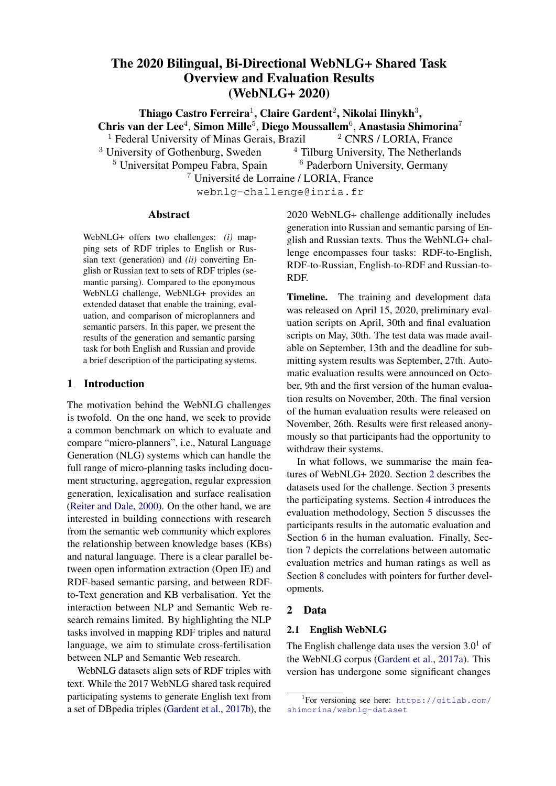| <b>Team Name</b>           | <b>BLEU</b> | BLEU<br><b>NLTK</b> | <b>METEOR</b> | $chrF++$ | TER               | BERT<br><b>Precision Recall</b> | <b>BERT BERT</b><br>F <sub>1</sub> |       | <b>BLEURT</b> |
|----------------------------|-------------|---------------------|---------------|----------|-------------------|---------------------------------|------------------------------------|-------|---------------|
| Amazon AI (Shanghai)       | 0.540       | 0.535               | 0.417         | 0.690    | 0.406             | 0.960                           | 0.957                              | 0.958 | 0.620         |
| <b>OSU Neural NLG</b>      | 0.535       | 0.532               | 0.414         | 0.688    | 0.416             | 0.958                           | 0.955                              | 0.956 | 0.610         |
| FBConvAI <sup>*</sup>      | 0.527       | 0.523               | 0.413         | 0.686    | 0.423             | 0.957                           | 0.955                              | 0.956 | 0.600         |
| bt <sub>5</sub>            | 0.517       | 0.517               | 0.411         | 0.679    | 0.435             | 0.955                           | 0.954                              | 0.954 | 0.600         |
| NUIG-DSI                   | 0.517       | 0.514               | 0.403         | 0.669    | 0.417             | 0.959                           | 0.954                              | 0.956 | 0.610         |
| cuni-ufal                  | 0.503       | 0.500               | 0.398         | 0.666    | 0.435             | 0.954                           | 0.950                              | 0.951 | 0.570         |
| DANGNT-SGU                 | 0.407       | 0.405               | 0.393         | 0.646    | 0.511             | 0.940                           | 0.946                              | 0.943 | 0.450         |
| CycleGT                    | 0.446       | 0.432               | 0.387         | 0.637    | 0.479             | 0.949                           | 0.949                              | 0.948 | 0.540         |
| RALI-Université de Montéal | 0.403       | 0.393               | 0.386         | 0.634    | 0.504             | 0.944                           | 0.944                              | 0.944 | 0.450         |
| TGen                       | 0.509       | 0.482               | 0.384         | 0.636    | 0.454             | 0.952                           | 0.947                              | 0.949 | 0.540         |
| Baseline-FORGE2020         | 0.406       | 0.396               | 0.373         | 0.621    | 0.517<br>$\Omega$ | .946                            | 0.943<br>0.941                     |       | 0.470         |
| Huawei Noah's Ark Lab      | 0.396       | 0.387               | 0.372         | 0.613    | 0.536             | 0.935                           | 0.937                              | 0.935 | 0.370         |
| Baseline-FORGE2017         | 0.379       | 0.371               | 0.364         | 0.606    | 0.553<br>$\Omega$ | .933                            | 0.935<br>0.930                     |       | 0.420         |
| <b>NILC</b>                | 0.320       | 0.313               | 0.350         | 0.545    | 0.629             | 0.920                           | 0.922                              | 0.920 | 0.400         |
| ORANGE-NLG                 | 0.384       | 0.377               | 0.343         | 0.584    | 0.587             | 0.927                           | 0.922                              | 0.924 | 0.330         |
| UPC-POE                    | 0.391       | 0.379               | 0.337         | 0.579    | 0.564             | 0.933                           | 0.927                              | 0.929 | 0.370         |

Table 6: Automatic Evaluation results fonglish RDF-to-text system submission the full test set. The teams are sorted by METEOR scores. Two baseline systems (from the previous and current WebNLG challenges) are coloured in grey. \* indicates late submission.

4. Type: The candidate triple element shouldwere translated to English using Deepbefore exmatch at least partially with the referencetracting the RDF triples using Stanford CoreNLP's triple element, and the element type (subjectOpen Information Extraction module. predicate, object) should match with the refer-

ence.

**Results of Automatic Evaluation** 

In this section, we present the automatic scores on

|               |                                                |                 |                                             | In this section, we present the automatic scores on                            |
|---------------|------------------------------------------------|-----------------|---------------------------------------------|--------------------------------------------------------------------------------|
| Gold Gold     | Pred Pred                                      |                 |                                             | Type Partial Exact Strict English and Russian datasets for both tasks, namely, |
| entity string | entity string                                  |                 |                                             | RDF-to-text and Text-to-RDF. For English, we dis-                              |
| SUB Bionico   |                                                | MIS MIS MIS MIS |                                             | cuss the automatic scores, and make a distinction                              |
|               | Granola<br>OBJ.<br>PRED place PRED birth place | SPU SPU         | SPU SPU<br>CORPAR INC INC                   | between results o(i) the entire datase(ii) seen                                |
|               | SUB Bionico OBJ Bionico                        |                 | INC COR COR INC                             | semantic categoriesii) seen semantic categories                                |
|               | <b>PRED architect PRED architect</b>           |                 |                                             | COR COR COR CORbut unseen entities an(d) unseen semantic cate-                 |
|               |                                                |                 | SUB Capers OBJ Super Capers INC PAR INC INC | gories. For Russian, the only reported results are                             |

Table 7: Examples of possible error types for semantic parsing, and how these are interpreted by the measuresen entities and categories.  $COR = correct$ ,  $INC = incorrect$ ,  $PAR = partial$ ,  $MIS =$ missed, SPU = spurious. for the entire dataset, as the test set only contained 5.1 RDF-to-text

For development purposes, the evaluation scriptomatic evaluation of the RDF-to-text systems, oralso provided information about the number of cordered by METEOR scores on the entire test set. rect, incorrect, partial missed, spurious, possibleMost systems (10 out of 15) outperformed at least and actual matches for the four measures. English. Table 6 displays the results of the auone of the baselines, which are highlighted in gray.

Baselines. A baseline was constructed by using processing, ne-tuning large pre-trained language Stanford CoreNLP's Open Information Extraction module (Manning et al., 2014) on the texts in the strategy among the participants to achieve better test set. This module allows for the extraction of results. From the 6 best ranked systems for insubjects, relations, and objects in a string with stance, 4 made use of T5 (1st, 2nd, 4th and 5th), out any training necessary. Extraction of these third used BART whereas the sixth generates triples was limited to 10 per text, to avoid memory the texts using a multilingual version of the latter over ow errors when running the evaluation script. called mBART. Following a popular trend in Natural Language models, such as BART and T5, was a common

As this Open Information Extraction module was

only developed for English, the Russian sentences <sup>7</sup>https://www.deepl.com/en/translator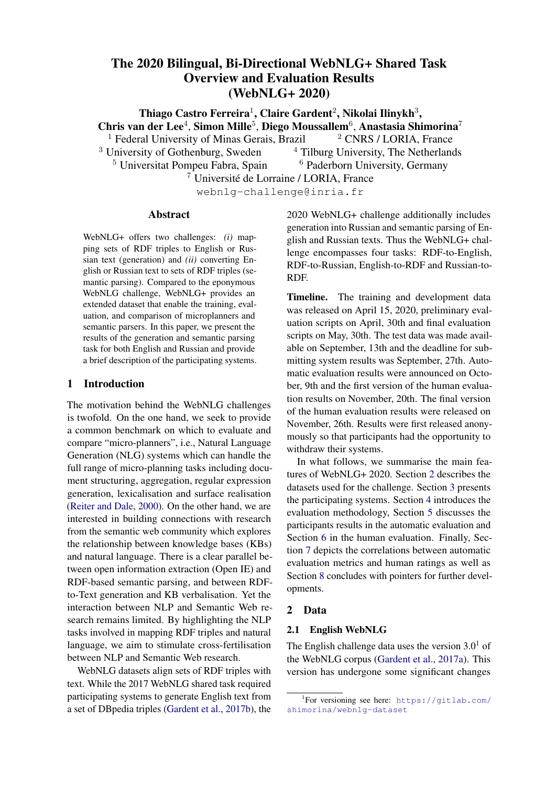|                                             |                |                            | Seen Categories          |                |                |                                        |                                    |                |
|---------------------------------------------|----------------|----------------------------|--------------------------|----------------|----------------|----------------------------------------|------------------------------------|----------------|
| <b>Team Name</b>                            | <b>BLEU</b>    | <b>BLEU</b><br><b>NLTK</b> | <b>METEOR</b>            | $chrF++$       | TER            | <b>BERT</b><br><b>Precision Recall</b> | <b>BERT BERT</b><br>F <sub>1</sub> | <b>BLEURT</b>  |
| FBConvAl*                                   | 0.613          | 0.608                      | 0.436                    | 0.730          | 0.395          | 0.964                                  | 0.961<br>0.962                     | 0.610          |
| <b>OSU Neural NLG</b>                       | 0.612          | 0.607                      | 0.434                    | 0.727          | 0.393          | 0.964                                  | 0.960<br>0.962                     | 0.610          |
| Amazon AI (Shanghai)                        | 0.604          | 0.596                      | 0.434                    | 0.723          | 0.404          | 0.964                                  | 0.961<br>0.962                     | 0.590          |
| bt5                                         | 0.611          | 0.611                      | 0.433                    | 0.725          | 0.391          | 0.965                                  | 0.961<br>0.963                     | 0.600          |
| ORANGE-NLG                                  | 0.593          | 0.584                      | 0.428                    | 0.712          | 0.415          | 0.963                                  | 0.957<br>0.960                     | 0.600          |
| cuni-ufal                                   | 0.591          | 0.588                      | 0.422                    | 0.712          | 0.403          | 0.964                                  | 0.957<br>0.960                     | 0.580          |
| NUIG-DSI<br><b>NILC</b>                     | 0.583          | 0.579                      | 0.416<br>0.409           | 0.699          | 0.408<br>0.430 | 0.964                                  | 0.958<br>0.960                     | 0.600          |
| DANGNT-SGU                                  | 0.562<br>0.463 | 0.550<br>0.452             | 0.406                    | 0.700<br>0.675 | 0.523          | 0.961<br>0.944                         | 0.957<br>0.958<br>0.949<br>0.946   | 0.580<br>0.420 |
| Huawei Noah's Ark Lab                       | 0.497          | 0.482                      | 0.402                    | 0.674          | 0.504          | 0.950                                  | 0.949 0.949                        | 0.460          |
| CycleGT                                     | 0.474          | 0.458                      | 0.394                    | 0.654          | 0.490          | 0.951                                  | 0.950<br>0.950                     | 0.500          |
| RALI-Université de Montéal                  | 0.437          | 0.417                      | 0.394                    | 0.652          | 0.530          | 0.947                                  | 0.949<br>0.948                     | 0.420          |
| Baseline-FORGE2020                          | 0.430          | 0.415                      | 0.387                    | 0.650          | 0.563          | 0.945                                  | 0.942 0.943                        | 0.410          |
| Baseline-FORGE2017                          | 0.412          | 0.398                      | 0.384                    | 0.642          | 0.599          | 0.938                                  | 0.938 0.936                        | 0.330          |
| <b>TGen</b>                                 | 0.610          | 0.518                      | 0.381                    | 0.641          | 0.432          | 0.961                                  | 0.948 0.954                        | 0.550          |
| UPC-POE                                     | 0.512          | 0.495                      | 0.373                    | 0.648          | 0.478          | 0.957                                  | 0.943<br>0.949                     | 0.500          |
|                                             |                |                            | <b>Unseen Entities</b>   |                |                |                                        |                                    |                |
| <b>Team Name</b>                            | <b>BLEU</b>    | <b>BLEU</b><br><b>NLTK</b> | <b>METEOR</b>            | $chrF++$       | <b>TER</b>     | <b>BERT</b><br>Precision Recall        | <b>BERT BERT</b><br>F <sub>1</sub> | <b>BLEURT</b>  |
| <b>OSU Neural NLG</b>                       | 0.524          | 0.520                      | 0.416                    | 0.694          | 0.398          | 0.963                                  | 0.960<br>0.961                     | 0.650          |
| NUIG-DSI                                    | 0.528          | 0.523                      | 0.415                    | 0.691          | 0.381          | 0.964                                  | 0.961<br>0.962                     | 0.670          |
| bt5                                         | 0.508          | 0.505                      | 0.415                    | 0.687          | 0.411          | 0.961                                  | 0.959<br>0.959                     | 0.650          |
| FBConvAl*                                   | 0.503          | 0.497                      | 0.414                    | 0.689          | 0.411          | 0.962                                  | 0.961<br>0.961                     | 0.650          |
| Amazon AI (Shanghai)                        | 0.523          | 0.517                      | 0.413                    | 0.691          | 0.394          | 0.963                                  | 0.960 0.961                        | 0.650          |
| cuni-ufal                                   | 0.512          | 0.500                      | 0.406                    | 0.687          | 0.417          | 0.960                                  | 0.958<br>0.959                     | 0.630          |
| TGen                                        | 0.507          | 0.504                      | 0.405                    | 0.672          | 0.410          | 0.958                                  | 0.956<br>0.957                     | 0.610          |
| RALI-Université de Montéal                  | 0.435          | 0.422                      | 0.395                    | 0.658          | 0.464          | 0.950                                  | 0.950<br>0.949                     | 0.530          |
| DANGNT-SGU                                  | 0.411          | 0.409                      | 0.391                    | 0.655          | 0.493          | 0.947                                  | 0.952<br>0.949                     | 0.520          |
| CycleGT                                     | 0.466          | 0.445                      | 0.390                    | 0.653          | 0.448          | 0.956                                  | 0.954 0.955                        | 0.600          |
| Baseline-FORGE2020                          | 0.402          | 0.393                      | 0.384                    | 0.648          | 0.476          | 0.949                                  | 0.950 0.949                        | 0.550          |
| Huawei Noah's Ark Lab                       | 0.424          | 0.411                      | 0.375                    | 0.631          | 0.487          | 0.944                                  | 0.944 0.944                        | 0.480          |
| Baseline-FORGE2017                          | 0.381          | 0.366                      | 0.367                    | 0.626          | 0.515          | 0.933                                  | 0.941 0.932                        | 0.500          |
| NILC                                        | 0.219          | 0.215                      | 0.340                    | 0.509          | 0.671          | 0.914                                  | 0.919 0.916                        | 0.420          |
| ORANGE-NLG                                  | 0.358          | 0.354                      | 0.326                    | 0.565          | 0.590          | 0.929                                  | 0.913<br>0.920                     | 0.260          |
| UPC-POE                                     | 0.353          | 0.338                      | 0.324                    | 0.569          | 0.570          | 0.937                                  | 0.929<br>0.932                     | 0.400          |
|                                             |                |                            | <b>Unseen Categories</b> |                |                |                                        |                                    |                |
| <b>Team Name</b>                            | <b>BLEU</b>    | <b>BLEU</b><br><b>NLTK</b> | <b>METEOR</b>            | $chrF++$       | TER            | <b>BERT</b><br>Precision Recall        | <b>BERT BERT</b><br>F <sub>1</sub> | <b>BLEURT</b>  |
| Amazon AI (Shanghai)                        | 0.492          | 0.491                      | 0.404                    | 0.660          | 0.413          | 0.957                                  | 0.953<br>0.954                     | 0.600          |
| <b>OSU Neural NLG</b>                       | 0.474          | 0.474                      | 0.397                    | 0.652          | 0.437          | 0.953                                  | 0.951<br>0.951                     | 0.570          |
| FBConvAl *                                  | 0.462          | 0.463                      | 0.394                    | 0.647          | 0.444          | 0.951                                  | 0.949<br>0.950                     | 0.570          |
| bt5                                         | 0.440          | 0.441                      | 0.393                    | 0.636          | 0.470          | 0.948                                  | 0.948<br>0.947                     | 0.560          |
| <b>NUIG-DSI</b>                             | 0.456          | 0.454                      | 0.388                    | 0.632          | 0.438          | 0.953                                  | 0.949<br>0.950                     | 0.580          |
| DANGNT-SGU                                  | 0.359          | 0.364                      | 0.384                    | 0.617          | 0.512          | 0.935                                  | 0.942<br>0.938                     | 0.420          |
| CycleGT                                     | 0.409          | 0.405                      | 0.379                    | 0.615          | 0.486          | 0.945                                  | 0.946<br>0.945                     | 0.540          |
| <b>TGen</b>                                 | 0.438          | 0.436                      | 0.379                    | 0.618          | 0.472          | 0.947                                  | 0.944<br>0.945                     | 0.500          |
| RALI-Université de Montéal                  | 0.359          | 0.360                      | 0.375                    | 0.606          | 0.507          | 0.940                                  | 0.939<br>0.939                     | 0.420          |
| cuni-ufal                                   | 0.422          | 0.425                      | 0.375                    | 0.617          | 0.460          | 0.946                                  | 0.942 0.943                        | 0.520          |
| Baseline-FORGE2020                          | 0.376          | 0.370                      | 0.357                    | 0.584          | 0.510          | 0.944                                  | 0.936 0.940                        | 0.440          |
| Baseline-FORGE2017<br>Huawei Noah's Ark Lab | 0.346<br>0.291 | 0.343<br>0.293             | 0.347<br>0.345           | 0.565<br>0.553 | 0.544<br>0.575 | 0.930<br>0.922                         | 0.930 0.925<br>0.926 0.924         | 0.390<br>0.230 |
| UPC-POE                                     | 0.295          | 0.288                      | 0.316                    | 0.526          | 0.608          | 0.918                                  | 0.917 0.917                        | 0.180          |
| <b>NILC</b>                                 | 0.162          | 0.161                      | 0.311                    | 0.435          | 0.719          | 0.900                                  | 0.905 0.902                        | 0.190          |
| ORANGE-NLG                                  | 0.233          | 0.229                      | 0.288                    | 0.485          | 0.680          | 0.907                                  | 0.906<br>0.906                     | 0.030          |
|                                             |                |                            |                          |                |                |                                        |                                    |                |

Table 8: Automatic Evaluation results for the RDF-to-text task for English on seen categories, unseen entities, and unseen categories. \* indicates late submission.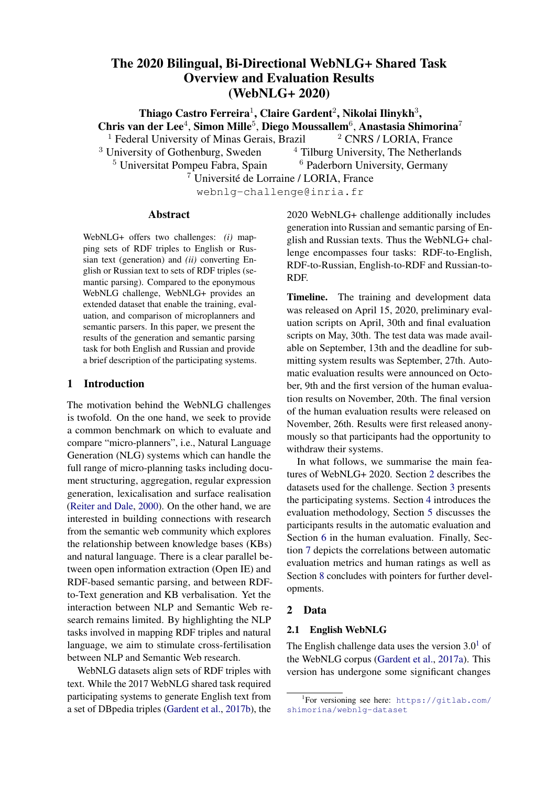| <b>BLEU</b> | BLEU<br><b>NLTK</b> | <b>METEOR</b> | $chrF++$ | TER   | <b>BERT</b>    | <b>BERT</b><br>F1                                               |                                                                             |
|-------------|---------------------|---------------|----------|-------|----------------|-----------------------------------------------------------------|-----------------------------------------------------------------------------|
| 0.516       | 0.521               | 0.676         | 0.683    |       |                | 0.907                                                           | 0.907                                                                       |
| 0.529       | 0.532               | 0.672         | 0.677    |       |                | 0.905                                                           | 0.909                                                                       |
| 0.468       |                     | 0.632         |          |       |                | 0.890                                                           | 0.893                                                                       |
| 0.453       | 0.451               | 0.617         | 0.641    |       | 0.903          | 0.894                                                           | 0.898                                                                       |
| 0.473       | 0.477               | 0.616         |          |       |                | 0.882                                                           | 0.888                                                                       |
| 0.431       | 0.430               | 0.576         | 0.595    |       |                | 0.873                                                           | 0.884                                                                       |
| 0.255       | 0.256               | 0.467         | 0.514    | 0.665 | 0.841          | 0.837                                                           |                                                                             |
|             |                     |               | 0.468    |       | 0.637<br>0.622 | Precision<br>0.420<br>0.398<br>0.456<br>0.452<br>0.453<br>0.487 | <b>BERT</b><br>Recall<br>0.909<br>0.914<br>0.899<br>0.897<br>0.898<br>0.835 |

Table 9: Automatic Evaluation results fortussian RDF-to-text system submissionos the full test set. The systems are sorted by METEOR score and the baseline system is coloured in grey. \* indicates late submission.

| Team Name                                                                                                  | Match            | F1                               | Precision                        | Recall                           |
|------------------------------------------------------------------------------------------------------------|------------------|----------------------------------|----------------------------------|----------------------------------|
| Amazon AI (Shanghai)<br>Amazon AI (Shanghai) EnType<br>Amazon AI (Shanghai)<br>Amazon AI (Shanghai) Strict | Exact<br>Partial | 0.689<br>0.700<br>0.696<br>0.686 | 0.689<br>0.699<br>0.696<br>0.686 | 0.690<br>0.701<br>0.698<br>0.687 |
| bt5                                                                                                        | Exact            | 0.682                            | 0.670                            | 0.701                            |
| bt5                                                                                                        | EntType          | 0.737                            | 0.721                            | 0.762                            |
| bt5                                                                                                        | Partial          | 0.713                            | 0.700                            | 0.736                            |
| bt5                                                                                                        | Strict           | 0.675                            | 0.663                            | 0.695                            |
| CycleGT                                                                                                    | Exact            | 0.342                            | 0.338                            | 0.349                            |
| CycleGT                                                                                                    | EntType          | 0.343                            | 0.335                            | 0.356                            |
| CycleGT                                                                                                    | Partial          | 0.360                            | 0.355                            | 0.372                            |
| CycleGT                                                                                                    | Strict           | 0.309                            | 0.306                            | 0.315                            |
| Baseline                                                                                                   | Exact            | 0.158                            | 0.154                            | 0.164                            |
| Baseline                                                                                                   | Enflype          | 0.193                            | 0.187                            | 0.202                            |
| Baseline                                                                                                   | Partial          | 0.200                            | 0.194                            | 0.211                            |
| Baseline                                                                                                   | Strict           | 0.127                            | 0.125                            | 0.130                            |

(a)English submissions

| Team Name Match |               | F1    | <b>Precision Recall</b> |       |
|-----------------|---------------|-------|-------------------------|-------|
| bt5             | Exact         | 0.911 | 0.907                   | 0.917 |
| bt5             | EntType       | 0.923 | 0.918                   | 0.930 |
| bt <sub>5</sub> | Partial       | 0.917 | 0.913                   | 0.924 |
| bt5             | <b>Strict</b> | 0.911 | 0.907                   | 0.917 |
| <b>Baseline</b> | Exact         | 0.119 | 0.113                   | 0.129 |
| Baseline        | Enflype       | 0.147 | 0.137                   | 0.163 |
| <b>Baseline</b> | Partial       | 0.156 | 0.146                   | 0.172 |
| <b>Baseline</b> | <b>Strict</b> | 0.087 | 0.083                   | 0.094 |

#### (b) Russiansubmissions

RDF (Semantic Parsing) taster both languagesrepresented with Macro scores.

ing,(ii) trials from seen categories but with entities that were unseen during training afid) trials from categories fully unseen during training. We hypothesise that the dif culty increases along the different test sets: converting RDFs from semantic categories seen during training to texts is easier than generating from unseen semantic categories, where we want to evaluate how well the models can generalize. This hypothesis is indeed supported when looking at the number of systems that outperform the baselines (mostly based on their ME-TEOR scores). 12 out of 15 systems were better than both baselines in the seen categories, whereas only 10 outperform the baselines in the fully unseen categories.

Across the three kinds of evaluation, the top performing systems were basically the same, except for NUIG-DSI which took the second position in the unseen entities, showing a better generalisation capability in comparison to the other top 5 systems. Conversely,ORANGE-NLGandNILC were ranked better when generating text for RDFs seen during training, but performed poorly when information not seen during training was present in the input RDF triples.

Table 10: Automatic Evaluation results for Text-to-Tesults for the entire test set. Out of the 6 RDF-to-Russian. Table 9 shows the automatic evaluation text systems for Russian, 5 are bilingual and were also submitted for the English variation of the task. These system were also the top performing ones, ranked higher than the unique monolingual systems

In the comparison between rule-based and neura<sub>br</sub> Russian. From the bilingual approaches, 2 are approaches, results of the latter were usually higheyased on a T5 ne-tuned language model and 2 than the former. Out of the 4 rule-based system<sub>on the</sub> BART language model. In the comparison  $(including the baselines)$  $DANGNT-SGWas$  the one that ranked highest in the automatic evaluation<sub>n terms</sub> of METEOR and chrF++, however, on being in the 7th position. among thembt5 showed a superior performance the other metric suni-ufal performed better.

Table 8 depicts the results distinguished  $\beta$ y trials from semantic categories seen during trainscores. Such results were expected due to its out-Our baseline was the system which had the lowest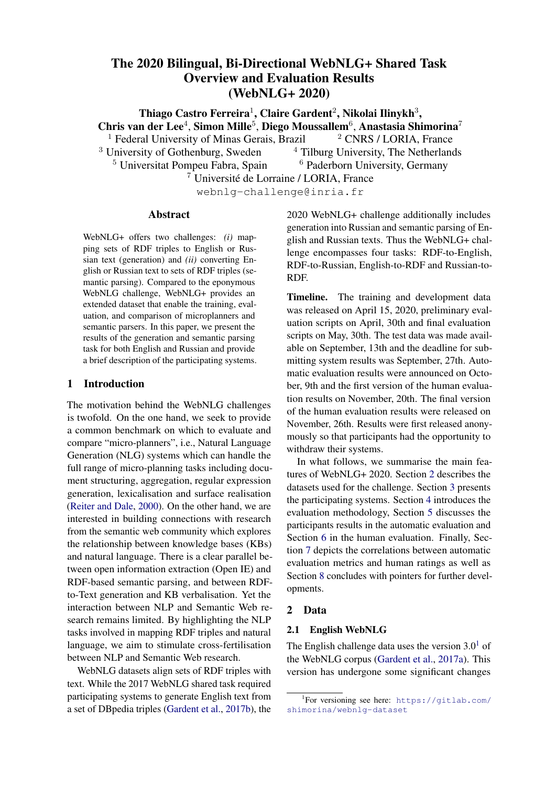|                                                                                                                                | Seen Categories                                     |                                  |                                  |                                  |
|--------------------------------------------------------------------------------------------------------------------------------|-----------------------------------------------------|----------------------------------|----------------------------------|----------------------------------|
| Team Name                                                                                                                      | Match                                               | F <sub>1</sub>                   | <b>Precision Recall</b>          |                                  |
| bt <sub>5</sub><br>bt5<br>bt <sub>5</sub><br>bt <sub>5</sub>                                                                   | Exact<br>EntType<br>Partial<br><b>Strict</b>        | 0.877<br>0.888<br>0.883<br>0.877 | 0.875<br>0.885<br>0.881<br>0.875 | 0.880<br>0.891<br>0.886<br>0.880 |
| Amazon AI (Shanghai) Exact<br>Amazon AI (Shanghai) EnType<br>Amazon AI (Shanghai) Partial<br>Amazon AI (Shanghai) Strict       |                                                     | 0.693<br>0.718<br>0.707<br>0.693 | 0.693<br>0.718<br>0.707<br>0.692 | 0.694<br>0.718<br>0.707<br>0.693 |
| CycleGT<br>CycleGT<br>CycleGT<br>CycleGT                                                                                       | Exact<br>EntType<br>Partial<br><b>Strict</b>        | 0.548<br>0.618<br>0.585<br>0.545 | 0.541<br>0.599<br>0.572<br>0.538 | 0.560<br>0.648<br>0.607<br>0.558 |
| <b>Baseline</b><br><b>Baseline</b><br>Baseline<br><b>Baseline</b>                                                              | Exact<br>Ent Type 0.211<br>Partial<br><b>Strict</b> | 0.165<br>0.211<br>0.140          | 0.163<br>0.205<br>0.205<br>0.139 | 0.170<br>0.221<br>0.221<br>0.143 |
|                                                                                                                                | <b>Unseen Categories</b>                            |                                  |                                  |                                  |
| Amazon AI (Shanghai) Exact<br>Amazon AI (Shanghai) EnType<br>Amazon AI (Shanghai) Partial<br>Amazon AI (Shanghai) Strict       |                                                     | 0.658<br>0.661<br>0.662<br>0.655 | 0.657<br>0.660<br>0.661<br>0.655 | 0.660<br>0.663<br>0.663<br>0.657 |
| bt5<br>bt5<br>bt5<br>bt <sub>5</sub>                                                                                           | Exact<br>EntType 0.653<br>Partial<br><b>Strict</b>  | 0.551<br>0.609<br>0.539          | 0.540<br>0.636<br>0.595<br>0.528 | 0.568<br>0.679<br>0.631<br>0.555 |
| CycleGT<br>CycleGT<br>CycleGT<br>CycleGT                                                                                       | Exact<br>EntType<br>Partial<br><b>Strict</b>        | 0.223<br>0.195<br>0.234<br>0.181 | 0.222<br>0.193<br>0.233<br>0.179 | 0.227<br>0.200<br>0.240<br>0.183 |
| <b>Baseline</b><br><b>Baseline</b><br><b>Baseline</b><br><b>Baseline</b>                                                       | Exact<br>Ent_Type 0.179<br>Partial<br>Strict        | 0.140<br>0.188<br>0.105          | 0.137<br>0.172<br>0.182<br>0.103 | 0.146<br>0.188<br>0.199<br>0.108 |
|                                                                                                                                | <b>Unseen Entities</b>                              |                                  |                                  |                                  |
| Amazon AI (Shanghai) Exact<br>Amazon AI (Shanghai) EnType 0.751<br>Amazon AI (Shanghai) Partial<br>Amazon AI (Shanghai) Strict |                                                     | 0.746<br>0.751<br>0.740          | 0.746<br>0.750<br>0.751<br>0.739 | 0.747<br>0.753<br>0.753<br>0.741 |
| bt <sub>5</sub><br>bt <sub>5</sub><br>bt <sub>5</sub><br>bt <sub>5</sub>                                                       | Exact<br>EntType<br>Partial<br>Strict               | 0.649<br>0.675<br>0.664<br>0.645 | 0.617<br>0.640<br>0.631<br>0.614 | 0.701<br>0.731<br>0.718<br>0.697 |
| CycleGT<br>CycleGT<br>CycleGT<br>CycleGT                                                                                       | Exact<br>EntType<br>Partial<br><b>Strict</b>        | 0.239<br>0.185<br>0.243<br>0.179 | 0.238<br>0.183<br>0.242<br>0.178 | 0.247<br>0.188<br>0.252<br>0.182 |
| <b>Baseline</b><br>Baseline<br><b>Baseline</b><br><b>Baseline</b>                                                              | Exact<br>Ent Type 0.196<br>Partial<br><b>Strict</b> | 0.184<br>0.210<br>0.152          | 0.178<br>0.190<br>0.202<br>0.149 | 0.194<br>0.205<br>0.224<br>0.157 |

### 5.2 Text-to-RDF

English. Table 10a shows the results for the entire test set. bt5 and Amazon AI (Shanghai) achieved similar results. bt5 achieved higher scores thanAmazon AI (Shanghai) on the more liberalEnt \_Type and Partial measurement types, while mazon AI showed better results on the stricter Exact and Strict matches.

Table 11 depicts the results distinguished by (1) trials from categories seen during training, (2) trials from seen categories but with unseen entities during training and (3) trials from domains fully unseen during training. For the seen categories, bt5 demonstrated superior performance, achieving higher F1 scores across all metrics in comparison to the other participants.

On unseen categories, Amazon AI 3 (Shanghai) took the rst place on this test set showing a generalisation capability for handling unseen categoriesAmazon AI (Shanghai) achieved nearly 0.66 F1 across all metrics while the second-best performing system,bt5, achieved 0.60 on averageycleGT performed slightly better than the baseline but still improved over the baseline results.

Amazon AI (Shanghai) also took rst place on the unseen entities set and achieved nearly 0.75 F1 across all metrics while the second-best performing systembt5, achieved 0.64 on average. Similar to the unseen categories y cleGT also achieved a slight improvement over the baseline for the unseen entities. The results of all systems on this test set show a similar tendency as the unseen categories test set, but, overall, the scores were higher than on unseen categories. The results on the unseen test sets suggest that the andAmazon AI (Shanghai) models were reasonably capable of generalising the position of the entities in the text. This is further corroborated by the relatively small drop of those models between the seen and unseen test sets. However, the differing nature of the entities across categories made generalisation more dif cult.

Table 11: Text-to-RDF (Semantic Parsing) results per Table 11. Text to NBT (Octmander aroung) results per tire test set, which was comprised of seen cateseen categories, unseen categories and unseen entities. The only.bt5 was the only system to perform Table 11: Text-to-RDF (Semantic Parsing) results per Russian. Table 10b shows the results on the enthis task and achieved impressive F1 results in

comparison to the baseline on all metrics. It also

puts were obtained by simply automatically transachieved even higher scores than ble system lating the texts generated by the English baselineobtained on the English seen categories test set.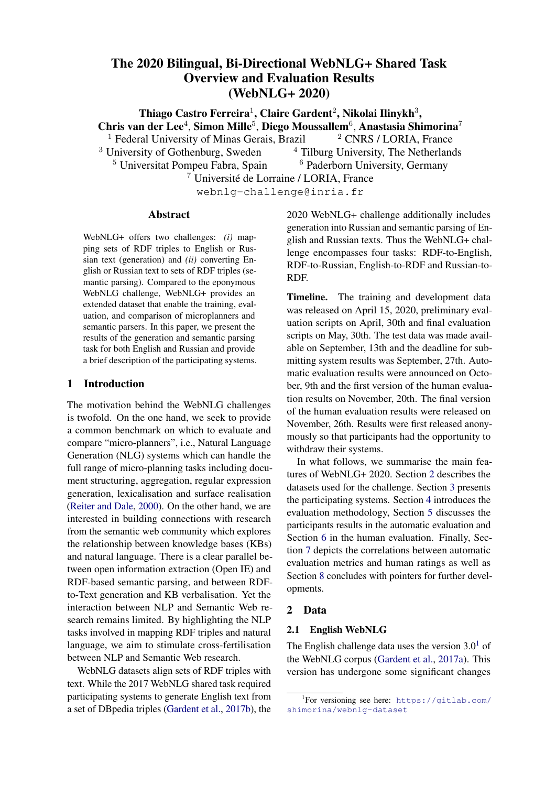|                            |                | <b>DATA COVERAGE</b> |          |      | <b>RELEVANCE</b> |          |                | <b>CORRECTNESS</b>  |          |                | TEXT STRUCTURE |          | <b>FLUENCY</b> |          |          |
|----------------------------|----------------|----------------------|----------|------|------------------|----------|----------------|---------------------|----------|----------------|----------------|----------|----------------|----------|----------|
| TEAM NAME                  | Rank           | Avg. Z               | Avg. Raw | Rank | Avg. Z           | Avg. Raw | Rank           | Avg. $\overline{Z}$ | Avg. Raw | Rank           | Avg. Z         | Avg. Raw | Rank           | Avg. Z   | Avg. Raw |
| FBConvAl*                  | $\overline{c}$ | 0.151                | 93.169   | 2    | 0.117            | 93.898   |                | 0.206               | 92.700   |                | 0.319          | 93.089   |                | 0.327    | 90.837   |
| AmazonAI (Shanghai)        |                | 0.222                | 94.393   |      | 0.214            | 95.196   |                | 0.248               | 93.531   |                | 0.305          | 92.951   |                | 0.326    | 90.286   |
| OSU Neural NLG             |                | 0.235                | 95.123   |      | 0.163            | 94.615   |                | 0.224               | 93.409   |                | 0.289          | 92.438   |                | 0.323    | 90.066   |
| WebNLG-2020-REF            |                | 0.251                | 95.442   |      | 0.139            | 94.392   |                | 0.256               | 94.149   |                | 0.254          | 92.105   |                | 0.279    | 89.846   |
| NUIG-DSI                   | 2              | 0.116                | 92.063   |      | 0.161            | 94.061   |                | 0.189               | 92.053   |                | 0.258          | 91.588   | $\overline{2}$ | 0.233    | 88.898   |
| bt <sub>5</sub>            | 2              | 0.161                | 93.836   |      | 0.184            | 95.220   |                | 0.224               | 93.583   |                | 0.236          | 91.914   | 2              | 0.218    | 88.688   |
| cuni-ufal                  | 2              | 0.155                | 93.291   |      | 0.164            | 94.555   |                | 0.161               | 91.587   |                | 0.208          | 90.752   | 2              | 0.185    | 87.642   |
| TGen                       | 3              | $-0.075$             | 88.176   |      | 0.132            | 92.640   | 2              | 0.074               | 88.626   |                | 0.168          | 89.041   | $\overline{c}$ | 0.182    | 86.163   |
| CycleGT                    | 3              | 0.023                | 91.231   |      | 0.125            | 93.370   | $\overline{c}$ | 0.071               | 89.846   | 2              | 0.045          | 87.879   | 3              | 0.072    | 84.820   |
| Baseline-FORGE2020         |                | 0.170                | 92.892   |      | 0.161            | 93.784   |                | 0.190               | 91.794   | $\overline{2}$ | 0.039          | 87.400   | 3              | 0.011    | 82.430   |
| Baseline-FORGE2017         | $\overline{c}$ | 0.127                | 92.066   | 2    | 0.113            | 92.588   | 2              | 0.13                | 90.138   |                | $-0.064$       | 85.737   | 4              | $-0.143$ | 80.941   |
| DANGNT-SGU                 |                | 0.259                | 95.315   |      | 0.185            | 94.856   |                | 0.179               | 92.489   | 3              | $-0.203$       | 83.501   | 4              | $-0.161$ | 78.594   |
| RALI-Université de Montéal |                | 0.272                | 95.204   |      | 0.171            | 94.810   |                | 0.163               | 92.128   | 3              | $-0.285$       | 81.835   | 4              | $-0.241$ | 77.759   |
| ORANGE-NLG                 | 5              | $-0.554$             | 79.959   | 4    | $-0.710$         | 79.887   | 4              | $-0.668$            | 74.977   | 3              | $-0.338$       | 80.462   | 5              | $-0.332$ | 75.675   |
| Huawei Noah's Ark Lab      | 4              | $-0.310$             | 84.743   | 3    | $-0.425$         | 85.265   | 3              | $-0.389$            | 80.760   | 3              | $-0.373$       | 80.219   | 5              | $-0.369$ | 75.205   |
| <b>NILC</b>                | 4              | $-0.477$             | 81.605   | 3    | $-0.499$         | 83.522   | 3              | $-0.589$            | 76.702   | 3              | $-0.402$       | 80.463   | 5              | $-0.408$ | 74.851   |
| UPC-POE                    | 6              | $-0.782$             | 75.845   | 4    | $-0.531$         | 82.051   | 4              | $-0.701$            | 74.374   | 4              | $-0.456$       | 78.503   | 5              | $-0.508$ | 72.280   |

Table 12: Human Evaluation results fonglish: scores forall test data types. The systems are sorted by averaged Fluency raw scores. The colour intensity signi es nal ranking in terms of averaged raw scores: more intense colour re ects higher performance for the speci c criterion. \* indicates late submission.

# 6 Results of Human Evaluation

DANGNT-SGU performed quite strongly, being in the same cluster as the references.

In this section, we describe the results of the human evaluation conducted on a sample of the outputs of Coverage is noticeably different: although systems RDF-to-text system submissions for both English Coorage is nonceasily allierent. almogen systems and Russian data. For English we evaluate systems that is taken the taken to all a britter language in and pro performance for(i) the full sampled test subset, (ii) subsets of each of the triple categories (seen (ii) subsets of each of the there categories (see on the latter language model (BARTBConvAI)<br>categories, unseen entities, unseen categories). For send a drap in parformance in terms of F Russian, we provide results for the full sampled suffered a drop in performance in terms of Data test subset only. The nal results for all test data types are shown in Table 12 for English systems. (T5) performed similarly to the rule-based ap-In Table 13 we evaluate systems for each of the test In fact, the relation between Fluency and Data FBConvAI , OSU Neural NLG), the ones based Coverage, whereas the ones based on the former proaches.

data types separately for the English data. Table 14 Table 13 depicts the human ratings for the RDFshows results for Russian system submissions. to-text task in English, discriminated by three types of data: seen categories, unseen entities and unseen

English. Table 12 shows the results of the categories. Across the three different types of data, human evaluation for the RDF-to-text task for it is possible to notice some of the tendencies that English system submissions. We rst look at were also found for the automatic evaluation. For the differences between the results of the humainstance, the difference in performance between and automatic evaluation: although the Fluencythe three kinds of data from models likeLC and and Text Structure ratings of the rule-based ORANGE-NLG which introduce good results for systems **RALI-Universit** é-Montr éal, DANGNT-SGU Baseline-FORGE2020) ranked similar to the automatic metrics in the categories. For unseen categories which were not lower part of the leaderboard, their human rating presented during training, most of the models were for Data Coverage, Relevance and Correctnessot able to outperform the ground-truth references were among the highest. trials from semantic categories seen during training, but fail to generalise to new entities and semantic (WebNLG-2020-REF) across multiple criteria.

Regarding Text Structure and Fluency, re-Note that the scores for unseen categories sults of neural approaches as BConvAI, AmazonAI (Shanghai) and OSU Neural NLG were rated surprisingly high, sharing unseen entities. the same ranking cluster with the ground-systems truth references (WebNLG-2020-REF). As expected, in terms of Data Coverage andevaluate connection between RDF triple and the Relevance, the rule-based participating systext (Data Coverage, Relevance, Correctness), tems **RALI-Universit** é-Montr éal , are generally lower for all systems compared to the scores for seen categories and Overall, while rule-based RALI-Universit é-Montr éal, DANGNT-SGU perform well for the criteria which for the categories which evaluate naturalness and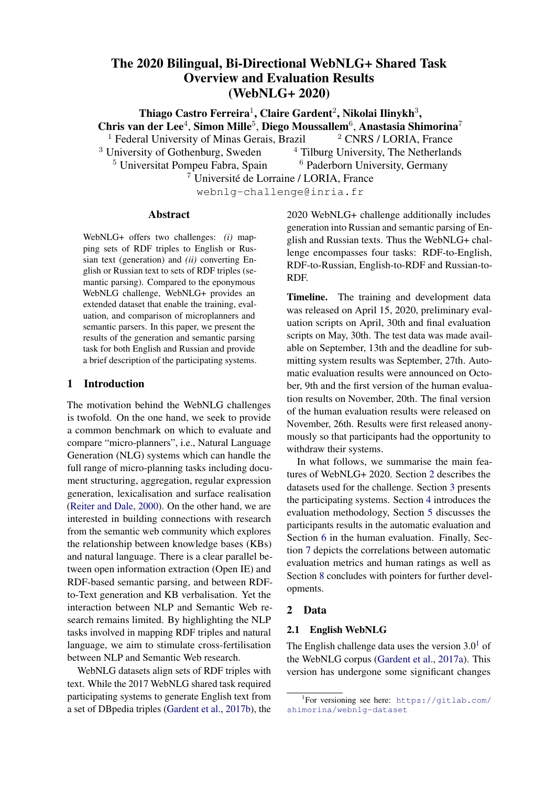|                            |                | Data Coverage |          |                | Relevance |          |                | Correctness |          |                | <b>Text Structure</b> |          | Fluency |          |          |
|----------------------------|----------------|---------------|----------|----------------|-----------|----------|----------------|-------------|----------|----------------|-----------------------|----------|---------|----------|----------|
| Team Name                  | Rank           | Avg. Z        | Avg. Raw | Rank           | Avg. Z    | Avg. Raw | Rank           | Avg. Z      | Avg. Raw | Rank           | Avg. Z                | Avg. Raw | Rank    | Avg. Z   | Avg. Raw |
| FBConvAI <sup>*</sup>      |                | 0.178         | 93.543   | $\overline{2}$ | 0.112     | 93.111   |                | 0.261       | 93.472   |                | 0.326                 | 92.966   |         | 0.358    | 91.654   |
| bt <sub>5</sub>            |                | 0.196         | 94.460   |                | 0.222     | 95.167   |                | 0.312       | 94.843   |                | 0.264                 | 91.846   |         | 0.280    | 89.892   |
| cuni-ufal                  |                | 0.257         | 94.941   |                | 0.203     | 94.870   |                | 0.273       | 93.886   |                | 0.263                 | 91.429   |         | 0.281    | 89.454   |
| OSU Neural NLG             |                | 0.176         | 94.287   | $\overline{2}$ | 0.084     | 93.373   |                | 0.233       | 94.015   |                | 0.239                 | 91.599   |         | 0.253    | 88.651   |
| NUIG-DSI                   | 2              | 0.059         | 91.253   |                | 0.178     | 94.512   | 2              | 0.162       | 92.494   |                | 0.234                 | 90.744   |         | 0.180    | 88.611   |
| WebNLG-2020-REF            |                | 0.264         | 95.491   |                | 0.135     | 94.142   |                | 0.236       | 93.355   |                | 0.198                 | 91.225   |         | 0.225    | 88.136   |
| AmazonAI (Shanghai)        |                | 0.258         | 94.090   |                | 0.170     | 93.586   |                | 0.295       | 93.691   |                | 0.293                 | 91.154   |         | 0.308    | 87.750   |
| <b>NILC</b>                |                | 0.225         | 94.448   |                | 0.266     | 96.269   |                | 0.212       | 93.071   |                | 0.212                 | 91.225   | 2       | 0.155    | 87.306   |
| ORANGE-NLG                 | $\overline{2}$ | 0.109         | 92.593   | 2              | 0.112     | 93.673   |                | 0.145       | 91.478   | 2              | 0.074                 | 88.034   | 2       | 0.112    | 85.302   |
| Huawei                     | $\overline{2}$ | 0.101         | 92.173   | $\overline{2}$ | 0.011     | 92.222   | 2              | 0.080       | 90.269   | $\overline{2}$ | 0.067                 | 88.380   | 2       | 0.064    | 85.111   |
| CycleGT                    | 3              | $-0.137$      | 88.386   |                | 0.125     | 92.120   | $\overline{2}$ | 0.062       | 88.633   | 3              | $-0.121$              | 84.262   | 2       | $-0.036$ | 83.287   |
| TGen                       | 3              | $-0.394$      | 81.670   | 2              | 0.074     | 91.099   |                | $-0.028$    | 86.793   | 2              | 0.034                 | 86.886   | 2       | 0.005    | 83.037   |
| Baseline-FORGE2020         |                | 0.280         | 95.296   |                | 0.153     | 94.568   |                | 0.226       | 93.593   | 2              | 0.074                 | 87.040   | 2       | 0.030    | 82.664   |
| UPC-POE                    | 4              | $-0.404$      | 82.173   | $\overline{2}$ | $-0.019$  | 90.503   | 3              | $-0.115$    | 84.858   | $\overline{2}$ | 0.096                 | 87.309   | 2       | $-0.077$ | 80.577   |
| DANGNT-SGU                 |                | 0.239         | 94.367   |                | 0.164     | 93.596   | 2              | 0.140       | 90.772   | 3              | $-0.132$              | 84.691   | 3       | $-0.159$ | 79.559   |
| RALI-Université de Montéal |                | 0.274         | 93.846   |                | 0.148     | 93.049   | 2              | 0.198       | 91.423   | 3              | $-0.170$              | 82.614   | 3       | $-0.157$ | 79.238   |
| Baseline-FORGE2017         | 2              | 0.065         | 90.253   | 2              | $-0.043$  | 89.568   |                | 0.042       | 87.608   | 3              | $-0.160$              | 82.892   | 3       | $-0.406$ | 75.037   |

(a) Seen categories

|                            |                | Data Coverage |          |                | Relevance |          |                | Correctness |          |                | <b>Text Structure</b> |          |                | Fluency  |          |
|----------------------------|----------------|---------------|----------|----------------|-----------|----------|----------------|-------------|----------|----------------|-----------------------|----------|----------------|----------|----------|
| Team Name                  | Rank           | Avg. Z        | Avg. Raw | Rank           | Avg. Z    | Avg. Raw | Rank           | Avg. Z      | Avg. Raw | Rank           | Avg. Z                | Avg. Raw | Rank           | Avg. Z   | Avg. Raw |
| AmazonAI (Shanghai)        |                | 0.291         | 95.532   |                | 0.272     | 96.329   |                | 0.293       | 94.703   |                | 0.348                 | 94.288   |                | 0.452    | 93.365   |
| TGen                       |                | 0.209         | 93.649   |                | 0.234     | 95.356   |                | 0.230       | 91.883   |                | 0.347                 | 92.347   |                | 0.448    | 91.869   |
| FBConvAl*                  | $\overline{2}$ | 0.139         | 93.536   | $\overline{2}$ | 0.169     | 95.644   |                | 0.201       | 94.000   |                | 0.334                 | 94.405   |                | 0.365    | 91.599   |
| <b>OSU Neural NLG</b>      |                | 0.158         | 94.203   |                | 0.253     | 95.662   |                | 0.178       | 92.338   |                | 0.292                 | 92.482   |                | 0.385    | 91.293   |
| WebNLG-2020-REF            |                | 0.283         | 95.991   |                | 0.315     | 97.117   |                | 0.268       | 95.171   |                | 0.281                 | 93.189   |                | 0.285    | 90.788   |
| bt <sub>5</sub>            |                | 0.158         | 93.734   | 2              | 0.146     | 95.351   |                | 0.154       | 93.239   |                | 0.263                 | 91.766   |                | 0.318    | 89.595   |
| NUIG-DSI                   |                | 0.165         | 91.752   |                | 0.181     | 93.694   |                | 0.260       | 92.446   |                | 0.358                 | 93.041   |                | 0.303    | 89.577   |
| CycleGT                    |                | 0.094         | 92.703   |                | 0.181     | 95.198   |                | 0.171       | 92.541   |                | 0.233                 | 92.036   |                | 0.286    | 89.189   |
| cuni-ufal                  |                | 0.206         | 93.937   |                | 0.213     | 94.995   |                | 0.149       | 91.086   |                | 0.314                 | 93.243   | 2              | 0.098    | 86.559   |
| Baseline-FORGE2017         |                | 0.196         | 92.207   |                | 0.266     | 93.797   |                | 0.317       | 91.302   | 2              | 0.003                 | 85.644   | 2              | 0.039    | 83.604   |
| RALI-Université de Montéal |                | 0.317         | 95.775   |                | 0.194     | 95.338   |                | 0.215       | 93.333   | $\overline{2}$ | $-0.088$              | 86.559   | 2              | $-0.019$ | 83.140   |
| Baseline-FORGE2020         |                | 0.161         | 93.360   |                | 0.271     | 96.099   |                | 0.199       | 92.635   | 2              | $-0.011$              | 88.243   | 2              | 0.025    | 82.126   |
| Huawei Noah's Ark Lab      | $\overline{2}$ | $-0.259$      | 85.041   | 3              | $-0.366$  | 85.559   |                | $-0.242$    | 84.126   | 2              | $-0.204$              | 83.383   | 2              | $-0.221$ | 79.315   |
| DANGNT-SGU                 |                | 0.230         | 95.329   |                | 0.249     | 96.658   |                | 0.160       | 93.459   | 2              | $-0.245$              | 81.977   | $\overline{2}$ | $-0.116$ | 78.599   |
| ORANGE-NLG                 | 3              | $-0.624$      | 78.149   | 3              | $-0.697$  | 78.950   | 3              | $-0.738$    | 71.342   | $\overline{2}$ | $-0.285$              | 80.505   | 3              | $-0.263$ | 74.586   |
| <b>NILC</b>                | 3              | $-0.343$      | 84.896   | 3              | $-0.299$  | 88.230   | $\overline{2}$ | $-0.563$    | 78.315   | 3              | $-0.629$              | 78.550   | 3              | $-0.492$ | 74.360   |
| UPC-POE                    |                | $-0.982$      | 72.928   | 3              | $-0.497$  | 82.950   | 3              | $-0.678$    | 75.032   | 3              | $-0.482$              | 77.829   | 3              | $-0.383$ | 74.095   |

(b) Unseen entities

|                            |                | Data Coverage |          | Relevance      |          |          | Correctness |          |          |      | <b>Text Structure</b> |          | Fluency |          |          |
|----------------------------|----------------|---------------|----------|----------------|----------|----------|-------------|----------|----------|------|-----------------------|----------|---------|----------|----------|
| Team Name                  | Rank           | Avg. Z        | Avg. Raw | Rank           | Avg. Z   | Avg. Raw | Rank        | Avg. Z   | Avg. Raw | Rank | Avg. Z                | Avg. Raw | Rank    | Avg. Z   | Avg. Raw |
| AmazonAI (Shanghai)        |                | 0.170         | 94.098   |                | 0.215    | 95.713   |             | 0.201    | 92.933   |      | 0.295                 | 93.498   |         | 0.284    | 90.550   |
| WebNLG-2020-REF            |                | 0.230         | 95.178   | 2              | 0.066    | 93.389   |             | 0.263    | 94.207   |      | 0.277                 | 92.190   |         | 0.310    | 90.508   |
| <b>OSU Neural NLG</b>      |                | 0.303         | 96.033   |                | 0.173    | 94.941   |             | 0.237    | 93.489   |      | 0.319                 | 92.941   |         | 0.340    | 90.423   |
| FBConvAI*                  |                | 0.140         | 92.780   | 2              | 0.098    | 93.644   |             | 0.173    | 91.669   |      | 0.308                 | 92.605   |         | 0.293    | 90.006   |
| NUIG-DSI                   | $\overline{2}$ | 0.130         | 92.697   | 2              | 0.142    | 93.937   |             | 0.175    | 91.613   |      | 0.230                 | 91.494   |         | 0.237    | 88.787   |
| bt <sub>5</sub>            | $\overline{2}$ | 0.140         | 93.492   |                | 0.177    | 95.197   |             | 0.200    | 92.948   |      | 0.207                 | 92.019   | 2       | 0.137    | 87.556   |
| cuni-ufal                  | $\overline{2}$ | 0.069         | 91.992   | $\overline{2}$ | 0.119    | 94.172   | 2           | 0.096    | 90.374   | 2    | 0.129                 | 89.272   |         | 0.163    | 86.979   |
| TGen                       | 3              | 0.002         | 89.887   | 2              | 0.125    | 92.443   | 2           | 0.071    | 88.379   |      | 0.175                 | 88.973   |         | 0.177    | 85.676   |
| CycleGT                    |                | 0.092         | 92.372   | 2              | 0.102    | 93.368   |             | 0.035    | 89.452   |      | 0.069                 | 88.356   | 2       | 0.048    | 83.914   |
| Baseline-FORGE2017         | $\overline{2}$ | 0.137         | 93.130   | 2              | 0.145    | 93.948   |             | 0.105    | 91.213   |      | $-0.032$              | 87.542   | 2       | $-0.057$ | 83.473   |
| Baseline-FORGE2020         | $\overline{2}$ | 0.106         | 91.201   | 2              | 0.120    | 92.312   |             | 0.163    | 90.320   | 2    | 0.039                 | 87.264   | 2       | $-0.007$ | 82.414   |
| DANGNT-SGU                 |                | 0.284         | 95.897   |                | 0.172    | 94.872   |             | 0.210    | 93.142   | 3    | $-0.229$              | 83.410   | 3       | $-0.182$ | 77.992   |
| RALI-Université de Montéal |                | 0.253         | 95.805   |                | 0.176    | 95.678   |             | 0.119    | 92.054   | з    | $-0.441$              | 79.343   | 3       | $-0.387$ | 74.554   |
| ORANGE-NLG                 | 5              | $-0.935$      | 72.887   | 4              | $-1.225$ | 71.728   | 4           | $-1.143$ | 66.280   | 4    | $-0.617$              | 75.743   | 4       | $-0.637$ | 70.163   |
| <b>NILC</b>                | 5              | $-0.970$      | 72.234   | 4              | $-1.060$ | 73.609   | 4           | $-1.098$ | 65.856   | 4    | $-0.685$              | 74.598   | 4       | $-0.721$ | 67.330   |
| Huawei Noah's Ark Lab      | 4              | $-0.586$      | 80.004   | 3              | $-0.721$ | 80.822   | 3           | $-0.743$ | 73.427   | 4    | $-0.718$              | 73.808   | 4       | $-0.700$ | 67.308   |
| UPC-POE                    | 5              | $-0.932$      | 73.157   | 3              | $-0.863$ | 76.423   | 4           | $-1.075$ | 67.586   | 4    | $-0.786$              | 73.324   | 4       | $-0.828$ | 66.358   |

#### (c) Unseen categories

Table 13: Human Evaluation results fonglish for each test data type The systems are sorted by averaged Fluency raw scores. The colour intensity signi es nal ranking in terms of averaged raw scores: more intense colour re ects higher performance for the speci c criterion. \* indicates late submission.

|                        | DATA COVERAGE |          |             | <b>RELEVANCE</b> |          |          | <b>CORRECTNESS</b> |          |          |      | TEXT STRUCTURE |          | <b>FLUENCY</b> |          |          |
|------------------------|---------------|----------|-------------|------------------|----------|----------|--------------------|----------|----------|------|----------------|----------|----------------|----------|----------|
| TEAM NAME              | Rank          | Ava. Z   | Raw<br>Ava. | Rank             | Ava. Z   | Avg. Raw | Rank               | Avg. Z   | Avg. Raw | Rank | z<br>Ava.      | Avg. Raw | Rank           | Avg. Z   | Avg. Raw |
| bt <sub>5</sub>        |               | 0.312    | 95.630      |                  | 0.174    | 95.385   |                    | 0.340    | 95.594   |      | 0.219          | 95.745   |                | 0.232    | 93.088   |
| cuni-ufal              |               | 0.203    | 93.155      |                  | 0.077    | 93.306   | $\overline{2}$     | 0.101    | 90.382   |      | 0.218          | 96.073   |                | 0.213    | 92.921   |
| FBConvAl*              |               | 0.133    | 92.339      |                  | 0.027    | 93.491   | $\overline{2}$     | 0.080    | 90.779   |      | 0.079          | 93.764   |                | 0.063    | 90.248   |
| WebNLG-2020-REF        |               | 0.230    | 94,000      | 2                | 0.065    | 93.636   | $\overline{2}$     | 0.109    | 90.630   |      | $-0.005$       | 92.082   | ◠              | 0.022    | 89.021   |
| OSU Neural NLG         | ◠             | $-0.422$ | 82.836      | າ                | $-0.182$ | 90.433   | 3                  | $-0.181$ | 84.830   |      | 0.019          | 92.958   | ົ              | $-0.050$ | 88.558   |
| med                    |               | $-0.467$ | 82.230      | າ                | $-0.022$ | 92.224   | $\overline{2}$     | 0.021    | 88.585   |      | $-0.077$       | 91.309   | ົ              | $-0.060$ | 88.252   |
| Huawei Noah's Ark Labl | 2             | $-0.189$ | 86.448      | າ                | $-0.060$ | 91.761   | $\overline{2}$     | $-0.084$ | 87.033   |      | $-0.183$       | 89.515   |                | $-0.174$ | 85.679   |
| Baseline-FORGE2020     |               | 0.200    | 93.191      | ⌒                | $-0.079$ | 91.294   | 4                  | $-0.387$ | 80.830   | З    | $-0.270$       | 87.645   | 3              | $-0.247$ | 84.691   |

Table 14: Human Evaluation results for ussian RDF-to-text system submissions. The systems are sorted by averaged Fluency raw scores. The colour intensity signi es nal ranking in terms of averaged raw scores: more intense colour re ects higher performance for the speci c criterion. \* indicates late submission.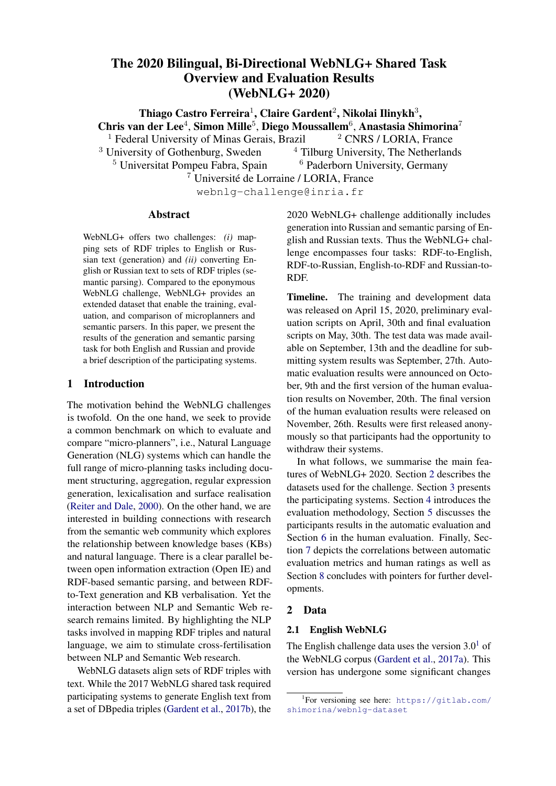| Measure            |         | 2       | 3       | 4       | 5    | 6    | 7    | 8    | 9    | 10   | 11   |
|--------------------|---------|---------|---------|---------|------|------|------|------|------|------|------|
| 1. BLEU NLTK       | 1.00    |         |         |         |      |      |      |      |      |      |      |
| 2. METEOR          | 0.81    | 1.00    |         |         |      |      |      |      |      |      |      |
| $3.$ chr $F_{++}$  | 0.89    | 0.85    | 1.00    |         |      |      |      |      |      |      |      |
| 4. TER             | $-0.87$ | $-0.78$ | $-0.85$ | 1.00    |      |      |      |      |      |      |      |
| 5. BERTScore F1    | 0.73    | 0.69    | 0.79    | $-0.74$ | 1.00 |      |      |      |      |      |      |
| 6. BLEURT          | 0.69    | 0.68    | 0.75    | $-0.77$ | 0.76 | 1.00 |      |      |      |      |      |
| 7. Correctness     | 0.35    | 0.29    | 0.41    | $-0.39$ | 0.46 | 0.55 | 1.00 |      |      |      |      |
| 8. Data Coverage   | 0.27    | 0.27    | 0.38    | $-0.31$ | 0.39 | 0.49 | 0.71 | 1.00 |      |      |      |
| 9. Fluency         | 0.38    | 0.31    | 0.4     | $-0.43$ | 0.46 | 0.54 | 0.62 | 0.49 | 1.00 |      |      |
| 10. Relevance      | 0.28    | 0.22    | 0.33    | $-0.32$ | 0.38 | 0.47 | 0.72 | 0.7  | 0.51 | 1.00 |      |
| 11. Text Structure | 0.35    | 0.28    | 0.36    | $-0.39$ | 0.44 | 0.51 | 0.56 | 0.45 | 0.8  | 0.51 | 1.00 |

| Measure            |         | 2       | 3      | 4       | 5    | 6    |      | 8    | 9    | 10   |
|--------------------|---------|---------|--------|---------|------|------|------|------|------|------|
| 1. BLEU NLTK       | 1.00    |         |        |         |      |      |      |      |      |      |
| 2. METEOR          | 0.91    | 1.00    |        |         |      |      |      |      |      |      |
| $3.$ chr $F_{++}$  | 0.92    | 0.92    | 1.00   |         |      |      |      |      |      |      |
| 4. TER             | $-0.91$ | $-0.91$ | $-0.9$ | 1.00    |      |      |      |      |      |      |
| 5. BERTScore F1    | 0.83    | 0.83    | 0.93   | $-0.88$ | 1.00 |      |      |      |      |      |
| 6. Correctness     | 0.23    | 0.23    | 0.31   | $-0.24$ | 0.31 | 1.00 |      |      |      |      |
| 7. Data Coverage   | 0.20    | 0.2     | 0.32   | $-0.22$ | 0.29 | 0.50 | 1.00 |      |      |      |
| 8. Fluency         | 0.17    | 0.17    | 0.20   | $-0.22$ | 0.26 | 0.42 | 0.31 | 1.00 |      |      |
| 9. Relevance       | 0.14    | 0.14    | 0.17   | $-0.15$ | 0.17 | 0.56 | 0.50 | 0.28 | 1.00 |      |
| 10. Text Structure | 0.16    | 0.16    | 0.19   | $-0.18$ | 0.21 | 0.43 | 0.27 | 0.74 | 0.24 | 1.00 |

(b) Russian

Table 15: Pearson correlations for RDF-to-text task for both languages. All of them were statistically signi cant with p-value< 0:01.

grammaticality (Text Structure, Fluency) they 7 Correlation between Automatic and score lower than neural approaches.

Human Evaluation Metrics

Russian. Table 14 shows the results of the hu-Pearson correlations of the evaluation metrics man evaluation for the RDF-to-text systems in for the RDF-to-text task in English and Rus-Russian. Similar to the automatic evaluation, thesian, respectively. Novel learned metrics, such top-performing systems in all ratings abes , cuni-ufal andFBConvAI . Also, the ratings more with the human evaluation ratings than trafor the rst two systems were signi cantly better ditional token- and character-overlapping metrics, than the ones for the ground-truth references fosuch as BLEU, METEOR, chrF++ and TER. For Relevance, Text Structure and Fluenbt also ranked higher than the references for Correctnessic, was the one that best correlated with the hu-As described in Section 2.2, Russian data mightnan evaluation ratings, especially with Correctness have issues with uency and correctness, so weand Fluency. For Russian, BERTScore was the attribute the lower ratings for references to the qualautomatic metric that best correlated with the huity of the data. Interestingly, Huawei Noah's Ark Lab performed much worse on the human chrF++ correlated the most. This latter was one of evaluation across all criteria compared to their authe character- and-gram metrics that correlates tomatic evaluation metric scores. Tables 15a and 15b describe the sentence-level as BERTScore and BLEURT, seem to correlate the English evaluation, BLEURT, the newest metman ratings, except for Data Coverage, with which more with human ratings.

(a)English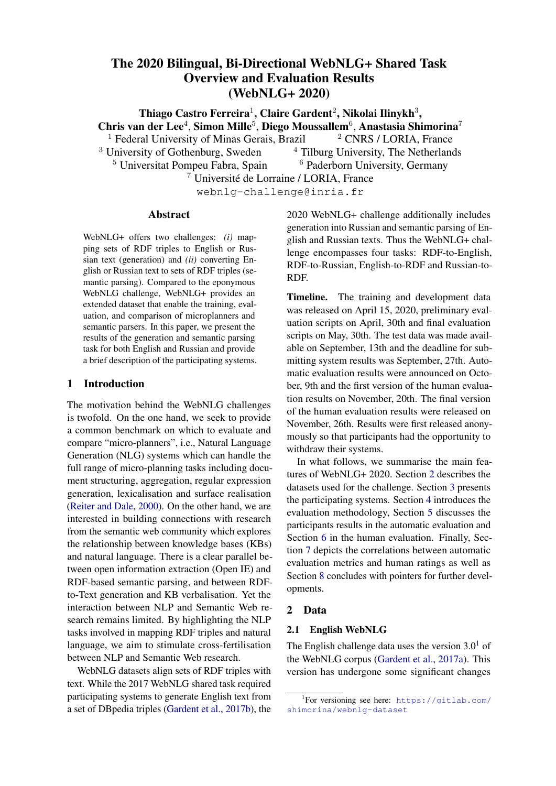# 8 Conclusion

training and(iii) trials from categories fully unseen during training. We hypothesise that the former

than generating from unseen entities and semantic

This report described the data, participating systeming numbers is the easiest, since the generation models tems, results and ndings of the 2020 Bilingual, would just have to memorise the content seen dur-Bi-Directional WebNLG+ shared task. The shared<sub>ing training</sub>. On the other hand, in the latter the task of this year involved two tasks: RDF-to-text models would have to generalize the content learnt and Text-to-RDF. In the following sections, we de-during training to unseen data. In fact, results con scribe the main ndings for each task conducted rmed that converting RDF triples from semantic on this version of the shared task. categories seen during training to texts is easier

# 8.1 RDF-to-text

Similar to the WebNLG challenge of 2017, the categories.

RDF-to-text task consisted of verbalising sets of Automatic vs. RDF triples. Different from the last version of this We evaluated the participating systems using sevshared task, the task in this year was introduced ral traditional automated (e.g. BLEU, METEOR) in two languages: English and Russian. In totalmetrics as well as novel learning-based evaluation we received 14 submissions for English and 6 fonnes (e.g. BERTScore, BLEURT) for text genera-Russian. Human Evaluation Metrics. tion. The inclusion of all these metrics allowed

Neural vs. Rule-based approaches. Looking at the results for the automatic and human evaluation erved that novel embedding-based metrics, such we could notice some differences between rule<sub>as BERTScore and BLEURT, achieved higher cor-</sub> based and neural approaches for data-to-text gepatations with human ratings than traditional tokeneration. The former models seem to automaticall bverlapping ones, such as BLEU and METEOR. generate text comparable in quality with human us to investigate which metrics show stronger correlations with human ratings. We have ob-

texts in terms of adequacy, i.e., the generated textBarity with Human-Written References. Sevexpress exactly the communicative goals containedral systems achieved high performance in human in the input tripleset. On the other hand, novel neuevaluation across all the measured criteria and ral approaches produce text comparable to humaended up in the same cluster with human references. texts in terms of uency. Could we say that automatic systems generated al-

Fine-tuned Large Language Models. Following a popular trend in Natural Language Proces ing, many of the participating neural approachestations. First, its vocabulary is relatively restricted; use ne-tuned large pre-trained language models econd, the dataset has a template-based structure such as BART and T5. These systems, such as where properties are lexicalised in a similar man-Amazon AI , FBConvAI , OSU Neural NLG andbt5 were among the top-ranked systems and dition of the shared task should aim for more comwere rated high in terms of uency and structure plex and naturally occurring texts verbalising RDF of the generated texts. T5 and BART were the riples. Speci cally, for Russian, we will need to large language models most frequently used by the ollect better data to measure parity with automatic participating systems. When comparing the use<sub>systems</sub>. most human-like texts and "solved" the data-to-text WebNLG task? Those conclusions should be made with caution since the WebNLG dataset has its limner across texts. Given those drawbacks, the next

of both models, they seem to perform similarly in terms of uency. However, the systems based on growth, measuring larigating and control in the system of the str BART suffered a drop in performance in terms of data coverage. In contrast, the ones based on the T5 Overall, modelling language is always a moving datasets and evaluation settings.

performed similarly to the rule-based approaches<sub>8.2</sub> Text-to-RDF

Memorisation vs. Generalisation. We evaluated the RDF-to-text systems in distinct data setWebNLG. Natural language texts had to be contings in order to verbalis $\ddot{\theta}$ ) trials from semantic categories seen during training ( $i$ ials from seen categories but with entities that were unseen duringanguages: English and Russian. In totalge The Text-to-RDF task was a new challenge for verted to RDF triples from the Semantic Web. Similar to RDF-to-text, this task was introduced in two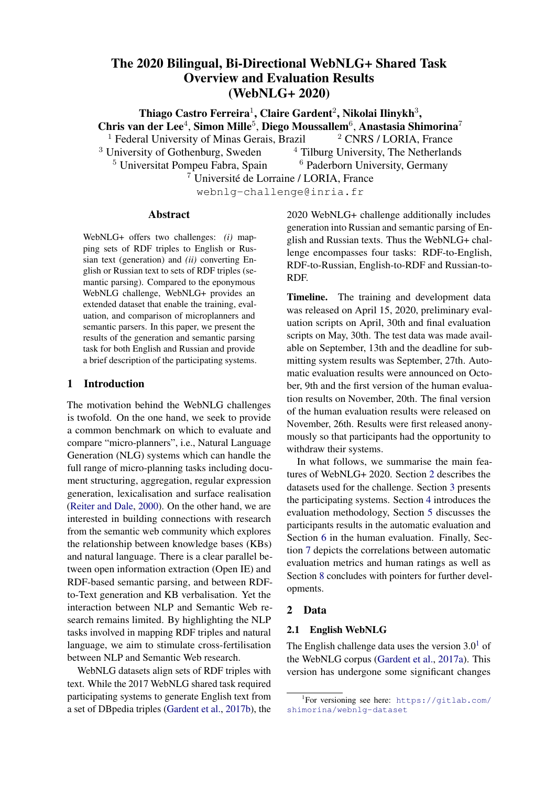teams participated in the task. One team partic01MK20011U; and by the Coordination for the Impated in both the English and Russian version of thorovement of Higher Education Personnel in Brazil task, whereas two participated only in the English (CAPES) under the grant 88887.508597/2020-00. version.

The evaluation was only performed using au-

tomatic metrics (F1, Precision, Recall) on four References

different levels (Exact, EnType, Partial, Strict). Oshin Agarwal, Mihir Kale, Heming Ge, Siamak Shak-The results on these metrics for English submissions show that all of them were able to outperform the baseline based on Stanford CoreNLP's Open shop on Natural Language Generation from the Se-Information Extraction module (Manning et al., 2014). In particular,Amazon AI (Shanghai)

eri, and Rami Al-Rfou. 2020. Machine translation aided bilingual data-to-text generation and semantic parsing. InProceedings of the 3rd WebNLG Workmantic Web (WebNLG+ 2020Dublin, Ireland (Virtual). Association for Computational Linguistics.

and bt5 performed well compared to this base-<sub>Olga</sub> Babko-Malaya. 2005. Propbank Annotation line. At the same time, when comparing the re-Guidelines.

sults per data type, a drop in performance was ob-<br>David Batista. 2018. served for all systems when tested for the sets with unseen categories and unseen entities, indicating http://www.davidsbatista.net/blog/ Named-entity evaluation metrics based on entity-level. Retrieved from

that all submitted semantic parsing systems strug-2018/05/09/Named\_Entity\_Evaluation/ on gle with generalisation to unseen entities and cate-November 14, 2020.

gories. However, note that the scores for azon AI (Shanghai) andbt5 still stayed relatively high when being tested on the unseen categories 3rd WebNLG Workshop on Natural Language Genand unseen entities.

Only bt5 participated in the Russian version of the task and achieved very high scores compared to the baseline. However, we emphasise that the samp rises and Colin Cherry. 2014. A systematic Russian test set included only seen entities and categories. Hence, it is not clear how well the Russianbt5 system would be able to generalize to unseen entities and categories.

# Acknowledgments

We are grateful to Elena Khasanova for developing and monitoring the crowdsourcing pipeline for Russian data collection during her internship at LO-RIA in summer 2019, and to Stamatia Dasiopoulou for her work on the baseline's interface between RDF and predicate-argument structures. We grate-Claire Gardent, Anastasia Shimorina, Shashi Narayan, fully acknowledge the support of the French National Research Agency (Gardent; award ANR-20- CHIA-0003, XNLG "Multi-lingual, Multi-Source Text Generation") and of the European Commission in the context of its H2020 Program under the grant numbers 870930-RIA, 779962-RIA, 825079 Claire Gardent, Anastasia Shimorina, Shashi Narayan, RIA, 786731-RIA at Universitat Pompeu Fabra. Research funded by the German Federal Ministry of Economics and Technology (BMWI) in the project RAKI (no. 01MD19012D). This work also has been supported by the German Federal Min-

Pavel Blinov. 2020. Semantic triples verbalization with generative pre-training model. Proceedings of the

eration from the Semantic Web (WebNLG+ 2020) Dublin, Ireland (Virtual). Association for Computational Linguistics.

comparison of smoothing techniques for sentencelevel BLEU. InProceedings of the Ninth Workshop on Statistical Machine Translatiomages 362-367, Baltimore, Maryland, USA. Association for Computational Linguistics.

Oriol Domingo Roig, David Bergs Llad, Roser Cantenys Sab, Roger Creus Castanyer, andélésdrián Rodr´guez Fonollosa. 2020. The upc rdf-to-text system at webnig challenge 2020. Phroceedings of the 3rd WebNLG Workshop on Natural Language Generation from the Semantic Web (WebNLG+ 2020) Dublin, Ireland (Virtual). Association for Computational Linguistics.

and Laura Perez-Beltrachini. 2017a. Creating training corpora for NLG micro-planners. IProceedings of the 55th Annual Meeting of the Association for Computational Linguistics (Volume 1: Long Papers), pages 179–188, Vancouver, Canada. Association for Computational Linguistics.

and Laura Perez-Beltrachini. 2017b. The WebNLG challenge: Generating text from RDF data. Rroceedings of the 10th International Conference on Natural Language Generatiopages 124–133, Santiago de Compostela, Spain. Association for Computational Linguistics.

istry for Economic Affairs and Energy (BMWi) within the project SPEAKER under the grant no Qipeng Guo, Zhijing Jin, Ning Dai, Xipeng Qiu, Xiangyang Xue, David Wipf, and Zheng Zhang. 2020a.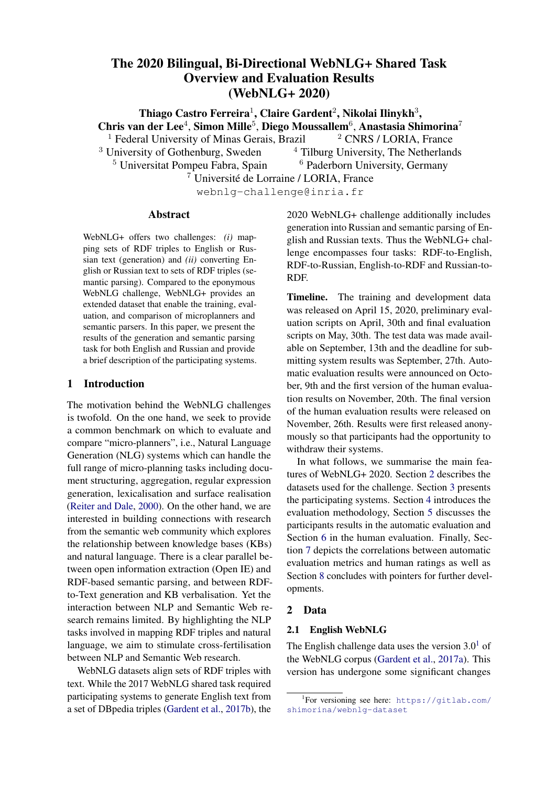Improving data-to-text generation by pre-training and planning. In *Proceedings of the 3rd WebNLG Workshop on Natural Language Generation from the Semantic Web (WebNLG+ 2020)*, Dublin, Ireland (Virtual). Association for Computational Linguistics.

- Qipeng Guo, Zhijing Jin, Xipeng Qiu, Weinan Zhang, David Wipf, and Zheng Zhang. 2020b. Cyclegt: Unsupervised graph-to-text and text-to-graph generation via cycle training. In *Proceedings of the 3rd WebNLG Workshop on Natural Language Generation from the Semantic Web (WebNLG+ 2020)*, Dublin, Ireland (Virtual). Association for Computational Linguistics.
- <span id="page-18-8"></span>Zdenek Kasner and Ondrej Dusek. 2020. Train hard, finetune easy: Multilingual denoising for rdf-to-text generation. In *Proceedings of the 3rd WebNLG Workshop on Natural Language Generation from the Semantic Web (WebNLG+ 2020)*, Dublin, Ireland (Virtual). Association for Computational Linguistics.
- <span id="page-18-4"></span>Natthawut Kertkeidkachorn and Hiroya Takamura. 2020. Text-to-text pre-training model with plan selection for rdf-to-text generation. In *Proceedings of the 3rd WebNLG Workshop on Natural Language Generation from the Semantic Web (WebNLG+ 2020)*, Dublin, Ireland (Virtual). Association for Computational Linguistics.
- <span id="page-18-0"></span>Guy Lapalme. 2020. Rdfg: a symbolic approach for generating text from rdf triples. In *Proceedings of the 3rd WebNLG Workshop on Natural Language Generation from the Semantic Web (WebNLG+ 2020)*, Dublin, Ireland (Virtual). Association for Computational Linguistics.
- Alon Lavie and Abhaya Agarwal. 2007. METEOR: An [automatic metric for MT evaluation with high levels](https://www.aclweb.org/anthology/W07-0734) [of correlation with human judgments.](https://www.aclweb.org/anthology/W07-0734) In *Proceedings of the Second Workshop on Statistical Machine Translation*, pages 228–231, Prague, Czech Republic. Association for Computational Linguistics.
- <span id="page-18-3"></span>Mike Lewis, Yinhan Liu, Naman Goyal, Marjan Ghazvininejad, Abdelrahman Mohamed, Omer Levy, Veselin Stoyanov, and Luke Zettlemoyer. 2020. [BART: Denoising sequence-to-sequence pre](https://doi.org/10.18653/v1/2020.acl-main.703)[training for natural language generation, translation,](https://doi.org/10.18653/v1/2020.acl-main.703) [and comprehension.](https://doi.org/10.18653/v1/2020.acl-main.703) In *Proceedings of the 58th Annual Meeting of the Association for Computational Linguistics*, pages 7871–7880, Online. Association for Computational Linguistics.
- <span id="page-18-7"></span>Yinhan Liu, Jiatao Gu, Naman Goyal, Xian Li, Sergey Edunov, Marjan Ghazvininejad, Mike Lewis, and Luke Zettlemoyer. 2020. [Multilingual denoising](https://arxiv.org/abs/2001.08210) [pre-training for neural machine translation.](https://arxiv.org/abs/2001.08210)
- Edward Loper and Steven Bird. 2002. [NLTK: the natu](https://arxiv.org/abs/cs/0205028)[ral language toolkit.](https://arxiv.org/abs/cs/0205028) *CoRR*, cs.CL/0205028.
- Christopher Manning, Mihai Surdeanu, John Bauer, Jenny Finkel, Steven Bethard, and David McClosky. 2014. [The Stanford CoreNLP natural language pro](https://doi.org/10.3115/v1/P14-5010)[cessing toolkit.](https://doi.org/10.3115/v1/P14-5010) In *Proceedings of 52nd Annual Meeting of the Association for Computational Linguistics: System Demonstrations*, pages 55–60, Baltimore, Maryland. Association for Computational Linguistics.
- Simon Mille, Stamatia Dasiopoulou, Beatriz Fisas, and Leo Wanner. 2019a. [Teaching FORGe to verbalize](https://doi.org/10.18653/v1/W19-8659) [DBpedia properties in Spanish.](https://doi.org/10.18653/v1/W19-8659) In *Proceedings of the 12th International Conference on Natural Language Generation*, pages 473–483, Tokyo, Japan. Association for Computational Linguistics.
- Simon Mille, Stamatia Dasiopoulou, and Leo Wanner. 2019b. A portable grammar-based nlg system for verbalization of structured data. In *Proceedings of the 34th ACM/SIGAPP Symposium on Applied Computing*, pages 1054–1056. ACM.
- <span id="page-18-2"></span>Sebastien Montella, Betty Fabre, Lina Maria Rojas-Barahona, Johannes Heinecke, and Tanguy Urvoy. 2020. Denoising pre-training and data augmentation strategies for enhanced rdf verbalization with transformers. In *Proceedings of the 3rd WebNLG Workshop on Natural Language Generation from the Semantic Web (WebNLG+ 2020)*, Dublin, Ireland (Virtual). Association for Computational Linguistics.
- Kishore Papineni, Salim Roukos, Todd Ward, and Wei-Jing Zhu. 2002. [Bleu: a method for automatic eval](https://doi.org/10.3115/1073083.1073135)[uation of machine translation.](https://doi.org/10.3115/1073083.1073135) In *Proceedings of the 40th Annual Meeting of the Association for Computational Linguistics*, pages 311–318, Philadelphia, Pennsylvania, USA. Association for Computational Linguistics.
- <span id="page-18-6"></span>Nivranshu Pasricha, Mihael Arcan, and Paul Buitelaar. 2020. Nuig-dsi at the webnlg+ challenge: Leveraging transfer learning for rdf-to-text generation. In *Proceedings of the 3rd WebNLG Workshop on Natural Language Generation from the Semantic Web (WebNLG+ 2020)*, Dublin, Ireland (Virtual). Association for Computational Linguistics.
- Maja Popović. 2017. [chrF++: words helping charac](https://doi.org/10.18653/v1/W17-4770)[ter n-grams.](https://doi.org/10.18653/v1/W17-4770) In *Proceedings of the Second Conference on Machine Translation*, pages 612–618, Copenhagen, Denmark. Association for Computational Linguistics.
- Peng Qi, Yuhao Zhang, Yuhui Zhang, Jason Bolton, and Christopher D. Manning. 2020. [Stanza: A](http://arxiv.org/abs/2003.07082) [python natural language processing toolkit for many](http://arxiv.org/abs/2003.07082) [human languages.](http://arxiv.org/abs/2003.07082)
- <span id="page-18-1"></span>A. Radford, Jeffrey Wu, R. Child, David Luan, Dario Amodei, and Ilya Sutskever. 2019. [Language mod](https://d4mucfpksywv.cloudfront.net/better-language-models/language-models.pdf)[els are unsupervised multitask learners.](https://d4mucfpksywv.cloudfront.net/better-language-models/language-models.pdf)
- <span id="page-18-5"></span>Colin Raffel, Noam Shazeer, Adam Roberts, Katherine Lee, Sharan Narang, Michael Matena, Yanqi Zhou, Wei Li, and Peter J Liu. 2020. Exploring the limits of transfer learning with a unified text-to-text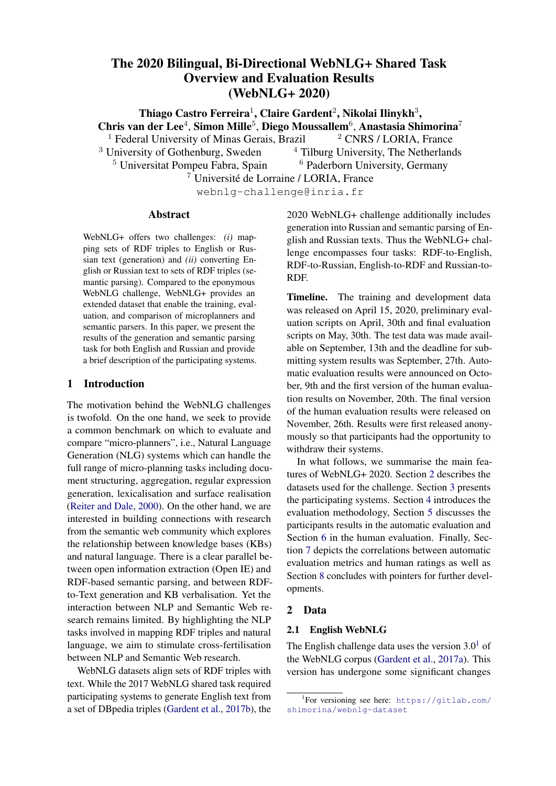transformer. *Journal of Machine Learning Research*, 21(140):1–67.

- <span id="page-19-0"></span>Ehud Reiter and Robert Dale. 2000. *Building natural language generation systems*. Cambridge university press.
- Isabel Segura-Bedmar, Paloma Martínez, and María Herrero-Zazo. 2013. [SemEval-2013 task 9 : Extrac](https://www.aclweb.org/anthology/S13-2056)[tion of drug-drug interactions from biomedical texts](https://www.aclweb.org/anthology/S13-2056) [\(DDIExtraction 2013\).](https://www.aclweb.org/anthology/S13-2056) In *Second Joint Conference on Lexical and Computational Semantics (\*SEM), Volume 2: Proceedings of the Seventh International Workshop on Semantic Evaluation (SemEval 2013)*, pages 341–350, Atlanta, Georgia, USA. Association for Computational Linguistics.
- Thibault Sellam, Dipanjan Das, and Ankur Parikh. 2020. [BLEURT: Learning robust metrics for text](https://doi.org/10.18653/v1/2020.acl-main.704) [generation.](https://doi.org/10.18653/v1/2020.acl-main.704) In *Proceedings of the 58th Annual Meeting of the Association for Computational Linguistics*, pages 7881–7892, Online. Association for Computational Linguistics.
- <span id="page-19-1"></span>Rico Sennrich, Alexandra Birch, Anna Currey, Ulrich Germann, Barry Haddow, Kenneth Heafield, Antonio Valerio Miceli Barone, and Philip Williams. 2017. [The University of Edinburgh's Neural MT](https://www.aclweb.org/anthology/W17-4739) [Systems for WMT17.](https://www.aclweb.org/anthology/W17-4739) In *Proceedings of the Second Conference on Machine Translation, Volume 2: Shared Task Papers*, Copenhagen, Denmark.
- <span id="page-19-2"></span>Anastasia Shimorina, Elena Khasanova, and Claire Gardent. 2019. [Creating a corpus for Russian data](https://doi.org/10.18653/v1/W19-3706)[to-text generation using neural machine translation](https://doi.org/10.18653/v1/W19-3706) [and post-editing.](https://doi.org/10.18653/v1/W19-3706) In *Proceedings of the 7th Workshop on Balto-Slavic Natural Language Processing*, pages 44–49, Florence, Italy. Association for Computational Linguistics.
- Matthew Snover, Bonnie Dorr, Richard Schwartz, Linnea Micciulla, and John Makhoul. 2006. A study of translation edit rate with targeted human annotation. In *In Proceedings of Association for Machine Translation in the Americas*, pages 223–231.
- <span id="page-19-4"></span>Marco Antonio Sobrevilla Cabezudo and Thiago Alexandre Salgueiro Pardo. 2020. Nilc at webnlg+: Pretrained sequence-to-sequence models on rdf-to-text generation. In *Proceedings of the 3rd WebNLG Workshop on Natural Language Generation from the Semantic Web (WebNLG+ 2020)*, Dublin, Ireland (Virtual). Association for Computational Linguistics.
- <span id="page-19-3"></span>Trung Tran and Dang Tuan Nguyen. 2020. Webnlg 2020 challenge: Semantic template mining for generating references from rdf. In *Proceedings of the 3rd WebNLG Workshop on Natural Language Generation from the Semantic Web (WebNLG+ 2020)*, Dublin, Ireland (Virtual). Association for Computational Linguistics.
- <span id="page-19-6"></span>Xintong, Aleksandre Maskharashvili, Symon Jory Stevens-Guille, and Michael White. 2020. Leveraging large pretrained models for webnlg 2020. In

*Proceedings of the 3rd WebNLG Workshop on Natural Language Generation from the Semantic Web (WebNLG+ 2020)*, Dublin, Ireland (Virtual). Association for Computational Linguistics.

- <span id="page-19-7"></span>Zixiaofan Yang, Arash Einolghozati, Hakan Inan, Angela Fan, Pinar Donmez, and Sonal Gupta. 2020. Improving text-to-text pre-trained models for the graph-to-text task. In *Proceedings of the 3rd WebNLG Workshop on Natural Language Generation from the Semantic Web (WebNLG+ 2020)*, Dublin, Ireland (Virtual). Association for Computational Linguistics.
- Tianyi Zhang, Varsha Kishore, Felix Wu, Kilian Q. Weinberger, and Yoav Artzi. 2020. [Bertscore: Eval](https://openreview.net/forum?id=SkeHuCVFDr)[uating text generation with bert.](https://openreview.net/forum?id=SkeHuCVFDr) In *International Conference on Learning Representations*.
- <span id="page-19-8"></span>Chao Zhao, Marilyn Walker, and Snigdha Chaturvedi. 2020. Bridging the structural gap between encoding and decoding for data-to-text generation. In *Proceedings of the 58th Annual Meeting of the Association for Computational Linguistics*, volume 1.
- <span id="page-19-5"></span>Giulio Zhou and Gerasimos Lampouras. 2020. Webnlg challenge 2020: Language agnostic delexicalisation for multilingual rdf-to-text generation. In *Proceedings of the 3rd WebNLG Workshop on Natural Language Generation from the Semantic Web (WebNLG+ 2020)*, Dublin, Ireland (Virtual). Association for Computational Linguistics.